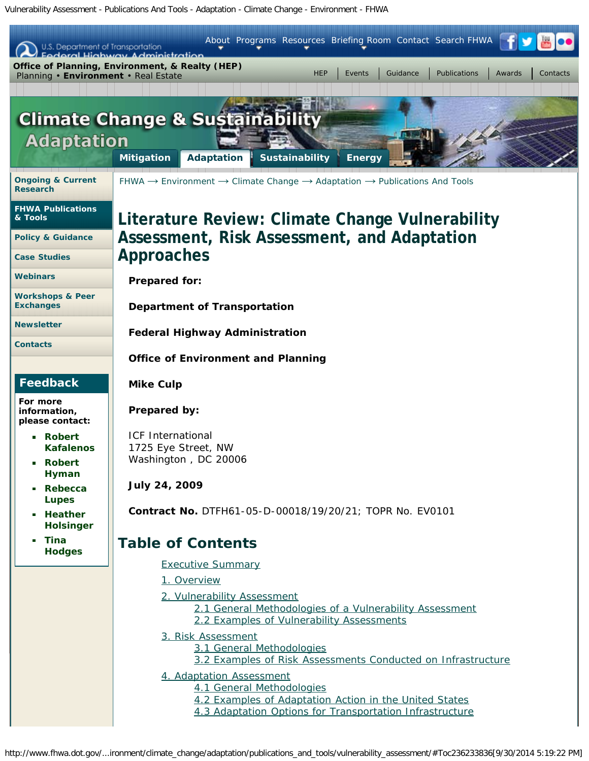Vulnerability Assessment - Publications And Tools - Adaptation - Climate Change - Environment - FHWA

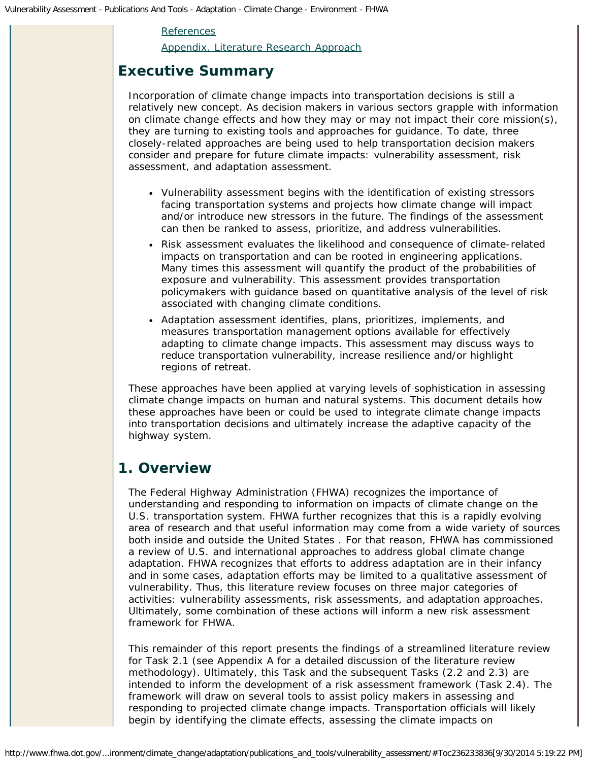### [References](#page-34-0)

[Appendix. Literature Research Approach](#page-37-0)

# <span id="page-1-0"></span>**Executive Summary**

Incorporation of climate change impacts into transportation decisions is still a relatively new concept. As decision makers in various sectors grapple with information on climate change effects and how they may or may not impact their core mission(s), they are turning to existing tools and approaches for guidance. To date, three closely-related approaches are being used to help transportation decision makers consider and prepare for future climate impacts: vulnerability assessment, risk assessment, and adaptation assessment.

- Vulnerability assessment begins with the identification of existing stressors facing transportation systems and projects how climate change will impact and/or introduce new stressors in the future. The findings of the assessment can then be ranked to assess, prioritize, and address vulnerabilities.
- Risk assessment evaluates the likelihood and consequence of climate-related impacts on transportation and can be rooted in engineering applications. Many times this assessment will quantify the product of the probabilities of exposure and vulnerability. This assessment provides transportation policymakers with guidance based on quantitative analysis of the level of risk associated with changing climate conditions.
- Adaptation assessment identifies, plans, prioritizes, implements, and measures transportation management options available for effectively adapting to climate change impacts. This assessment may discuss ways to reduce transportation vulnerability, increase resilience and/or highlight regions of retreat.

These approaches have been applied at varying levels of sophistication in assessing climate change impacts on human and natural systems. This document details how these approaches have been or could be used to integrate climate change impacts into transportation decisions and ultimately increase the adaptive capacity of the highway system.

# <span id="page-1-1"></span>**1. Overview**

The Federal Highway Administration (FHWA) recognizes the importance of understanding and responding to information on impacts of climate change on the U.S. transportation system. FHWA further recognizes that this is a rapidly evolving area of research and that useful information may come from a wide variety of sources both inside and outside the United States . For that reason, FHWA has commissioned a review of U.S. and international approaches to address global climate change adaptation. FHWA recognizes that efforts to address adaptation are in their infancy and in some cases, adaptation efforts may be limited to a qualitative assessment of vulnerability. Thus, this literature review focuses on three major categories of activities: vulnerability assessments, risk assessments, and adaptation approaches. Ultimately, some combination of these actions will inform a new risk assessment framework for FHWA.

This remainder of this report presents the findings of a streamlined literature review for Task 2.1 (see Appendix A for a detailed discussion of the literature review methodology). Ultimately, this Task and the subsequent Tasks (2.2 and 2.3) are intended to inform the development of a risk assessment framework (Task 2.4). The framework will draw on several tools to assist policy makers in assessing and responding to projected climate change impacts. Transportation officials will likely begin by identifying the climate effects, assessing the climate impacts on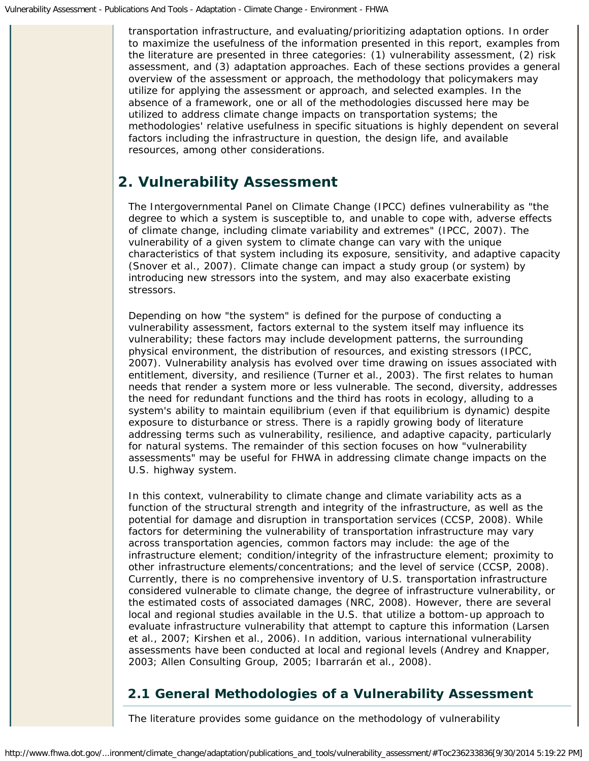transportation infrastructure, and evaluating/prioritizing adaptation options. In order to maximize the usefulness of the information presented in this report, examples from the literature are presented in three categories: (1) vulnerability assessment, (2) risk assessment, and (3) adaptation approaches. Each of these sections provides a general overview of the assessment or approach, the methodology that policymakers may utilize for applying the assessment or approach, and selected examples. In the absence of a framework, one or all of the methodologies discussed here may be utilized to address climate change impacts on transportation systems; the methodologies' relative usefulness in specific situations is highly dependent on several factors including the infrastructure in question, the design life, and available resources, among other considerations.

# <span id="page-2-0"></span>**2. Vulnerability Assessment**

The Intergovernmental Panel on Climate Change (IPCC) defines vulnerability as "the degree to which a system is susceptible to, and unable to cope with, adverse effects of climate change, including climate variability and extremes" (IPCC, 2007). The vulnerability of a given system to climate change can vary with the unique characteristics of that system including its exposure, sensitivity, and adaptive capacity (Snover et al., 2007). Climate change can impact a study group (or system) by introducing new stressors into the system, and may also exacerbate existing stressors.

Depending on how "the system" is defined for the purpose of conducting a vulnerability assessment, factors external to the system itself may influence its vulnerability; these factors may include development patterns, the surrounding physical environment, the distribution of resources, and existing stressors (IPCC, 2007). Vulnerability analysis has evolved over time drawing on issues associated with entitlement, diversity, and resilience (Turner et al., 2003). The first relates to human needs that render a system more or less vulnerable. The second, diversity, addresses the need for redundant functions and the third has roots in ecology, alluding to a system's ability to maintain equilibrium (even if that equilibrium is dynamic) despite exposure to disturbance or stress. There is a rapidly growing body of literature addressing terms such as vulnerability, resilience, and adaptive capacity, particularly for natural systems. The remainder of this section focuses on how "vulnerability assessments" may be useful for FHWA in addressing climate change impacts on the U.S. highway system.

In this context, vulnerability to climate change and climate variability acts as a function of the structural strength and integrity of the infrastructure, as well as the potential for damage and disruption in transportation services (CCSP, 2008). While factors for determining the vulnerability of transportation infrastructure may vary across transportation agencies, common factors may include: the age of the infrastructure element; condition/integrity of the infrastructure element; proximity to other infrastructure elements/concentrations; and the level of service (CCSP, 2008). Currently, there is no comprehensive inventory of U.S. transportation infrastructure considered vulnerable to climate change, the degree of infrastructure vulnerability, or the estimated costs of associated damages (NRC, 2008). However, there are several local and regional studies available in the U.S. that utilize a bottom-up approach to evaluate infrastructure vulnerability that attempt to capture this information (Larsen et al., 2007; Kirshen et al., 2006). In addition, various international vulnerability assessments have been conducted at local and regional levels (Andrey and Knapper, 2003; Allen Consulting Group, 2005; Ibarrarán et al., 2008).

# <span id="page-2-1"></span>**2.1 General Methodologies of a Vulnerability Assessment**

The literature provides some guidance on the methodology of vulnerability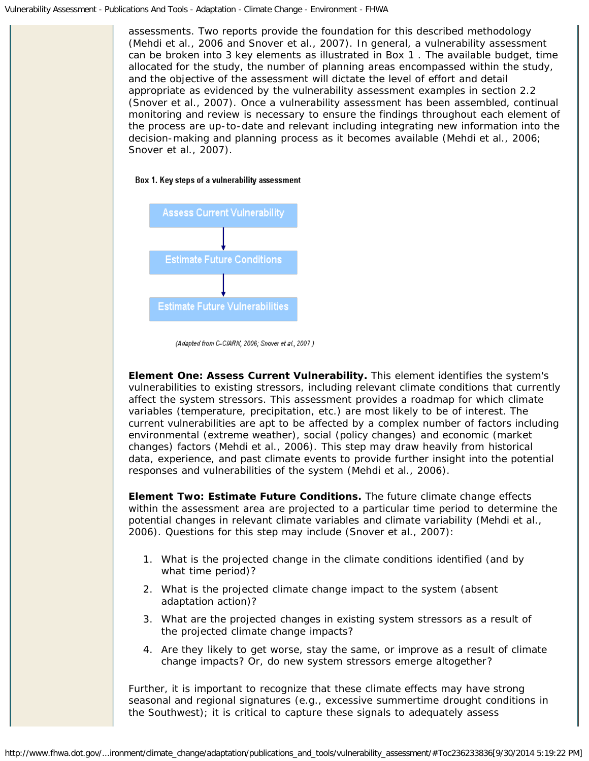assessments. Two reports provide the foundation for this described methodology (Mehdi et al., 2006 and Snover et al., 2007). In general, a vulnerability assessment can be broken into 3 key elements as illustrated in Box 1 . The available budget, time allocated for the study, the number of planning areas encompassed within the study, and the objective of the assessment will dictate the level of effort and detail appropriate as evidenced by the vulnerability assessment examples in section 2.2 (Snover et al., 2007). Once a vulnerability assessment has been assembled, continual monitoring and review is necessary to ensure the findings throughout each element of the process are up-to-date and relevant including integrating new information into the decision-making and planning process as it becomes available (Mehdi et al., 2006; Snover et al., 2007).





(Adapted from C-CIARN, 2006; Snover et al., 2007.)

**Element One: Assess Current Vulnerability.** This element identifies the system's vulnerabilities to existing stressors, including relevant climate conditions that currently affect the system stressors. This assessment provides a roadmap for which climate variables (temperature, precipitation, etc.) are most likely to be of interest. The current vulnerabilities are apt to be affected by a complex number of factors including environmental (extreme weather), social (policy changes) and economic (market changes) factors (Mehdi et al., 2006). This step may draw heavily from historical data, experience, and past climate events to provide further insight into the potential responses and vulnerabilities of the system (Mehdi et al., 2006).

**Element Two: Estimate Future Conditions.** The future climate change effects within the assessment area are projected to a particular time period to determine the potential changes in relevant climate variables and climate variability (Mehdi et al., 2006). Questions for this step may include (Snover et al., 2007):

- 1. What is the projected change in the climate conditions identified (and by what time period)?
- 2. What is the projected climate change impact to the system (absent adaptation action)?
- 3. What are the projected changes in existing system stressors as a result of the projected climate change impacts?
- 4. Are they likely to get worse, stay the same, or improve as a result of climate change impacts? Or, do new system stressors emerge altogether?

Further, it is important to recognize that these climate effects may have strong seasonal and regional signatures (e.g., excessive summertime drought conditions in the Southwest); it is critical to capture these signals to adequately assess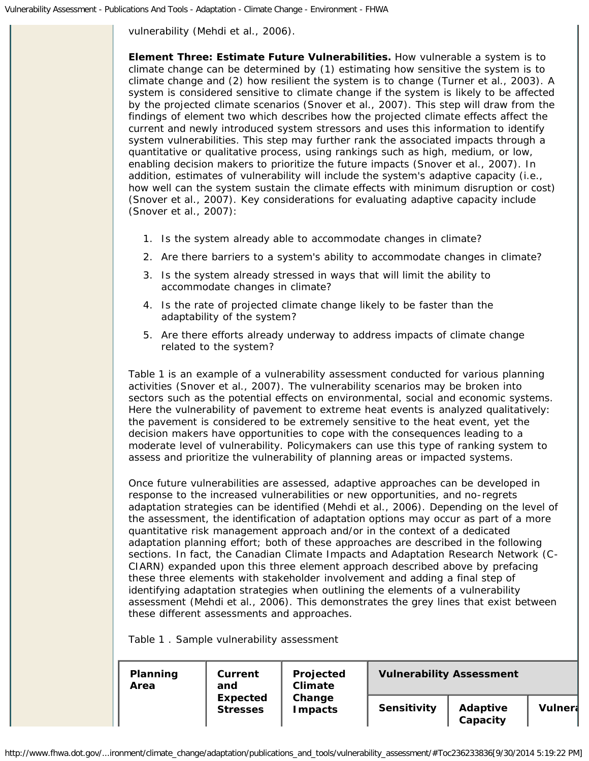vulnerability (Mehdi et al., 2006).

**Element Three: Estimate Future Vulnerabilities.** How vulnerable a system is to climate change can be determined by (1) estimating how sensitive the system is to climate change and (2) how resilient the system is to change (Turner et al., 2003). A system is considered sensitive to climate change if the system is likely to be affected by the projected climate scenarios (Snover et al., 2007). This step will draw from the findings of element two which describes how the projected climate effects affect the current and newly introduced system stressors and uses this information to identify system vulnerabilities. This step may further rank the associated impacts through a quantitative or qualitative process, using rankings such as high, medium, or low, enabling decision makers to prioritize the future impacts (Snover et al., 2007). In addition, estimates of vulnerability will include the system's adaptive capacity (i.e., how well can the system sustain the climate effects with minimum disruption or cost) (Snover et al., 2007). Key considerations for evaluating adaptive capacity include (Snover et al., 2007):

- 1. Is the system already able to accommodate changes in climate?
- 2. Are there barriers to a system's ability to accommodate changes in climate?
- 3. Is the system already stressed in ways that will limit the ability to accommodate changes in climate?
- 4. Is the rate of projected climate change likely to be faster than the adaptability of the system?
- 5. Are there efforts already underway to address impacts of climate change related to the system?

Table 1 is an example of a vulnerability assessment conducted for various planning activities (Snover et al., 2007). The vulnerability scenarios may be broken into sectors such as the potential effects on environmental, social and economic systems. Here the vulnerability of pavement to extreme heat events is analyzed qualitatively: the pavement is considered to be extremely sensitive to the heat event, yet the decision makers have opportunities to cope with the consequences leading to a moderate level of vulnerability. Policymakers can use this type of ranking system to assess and prioritize the vulnerability of planning areas or impacted systems.

Once future vulnerabilities are assessed, adaptive approaches can be developed in response to the increased vulnerabilities or new opportunities, and no-regrets adaptation strategies can be identified (Mehdi et al., 2006). Depending on the level of the assessment, the identification of adaptation options may occur as part of a more quantitative risk management approach and/or in the context of a dedicated adaptation planning effort; both of these approaches are described in the following sections. In fact, the Canadian Climate Impacts and Adaptation Research Network (C-CIARN) expanded upon this three element approach described above by prefacing these three elements with stakeholder involvement and adding a final step of identifying adaptation strategies when outlining the elements of a vulnerability assessment (Mehdi et al., 2006). This demonstrates the grey lines that exist between these different assessments and approaches.

Table 1 . Sample vulnerability assessment

|  | Planning<br>Area | Current<br>and                     | Projected<br><b>Climate</b><br>Change<br><b>Impacts</b> | <b>Vulnerability Assessment</b> |                      |                |  |
|--|------------------|------------------------------------|---------------------------------------------------------|---------------------------------|----------------------|----------------|--|
|  |                  | <b>Expected</b><br><b>Stresses</b> |                                                         | Sensitivity                     | Adaptive<br>Capacity | <b>Vulnera</b> |  |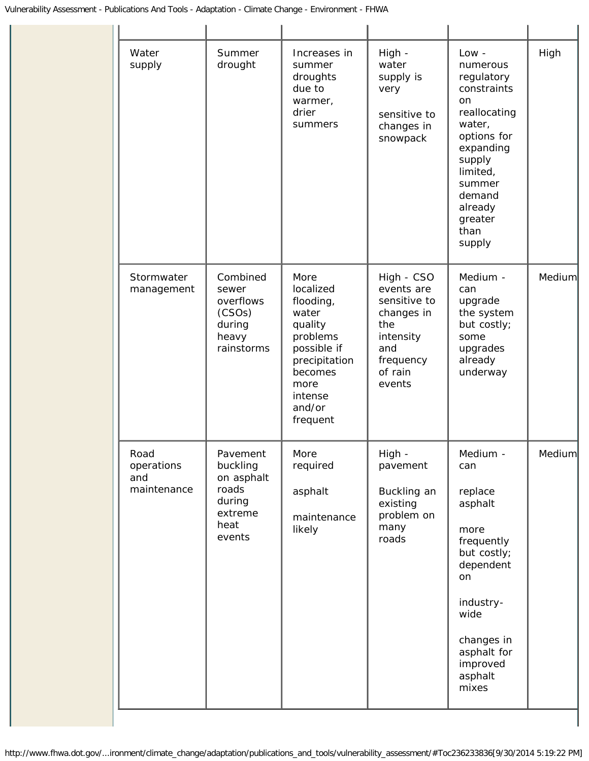| Water<br>supply                          | Summer<br>drought                                                                  | Increases in<br>summer<br>droughts<br>due to<br>warmer,<br>drier<br>summers                                                                        | High -<br>water<br>supply is<br>very<br>sensitive to<br>changes in<br>snowpack                                      | $Low -$<br>numerous<br>regulatory<br>constraints<br>on<br>reallocating<br>water,<br>options for<br>expanding<br>supply<br>limited,<br>summer<br>demand<br>already<br>greater<br>than<br>supply | High   |
|------------------------------------------|------------------------------------------------------------------------------------|----------------------------------------------------------------------------------------------------------------------------------------------------|---------------------------------------------------------------------------------------------------------------------|------------------------------------------------------------------------------------------------------------------------------------------------------------------------------------------------|--------|
| Stormwater<br>management                 | Combined<br>sewer<br>overflows<br>(CSOs)<br>during<br>heavy<br>rainstorms          | More<br>localized<br>flooding,<br>water<br>quality<br>problems<br>possible if<br>precipitation<br>becomes<br>more<br>intense<br>and/or<br>frequent | High - CSO<br>events are<br>sensitive to<br>changes in<br>the<br>intensity<br>and<br>frequency<br>of rain<br>events | Medium -<br>can<br>upgrade<br>the system<br>but costly;<br>some<br>upgrades<br>already<br>underway                                                                                             | Medium |
| Road<br>operations<br>and<br>maintenance | Pavement<br>buckling<br>on asphalt<br>roads<br>during<br>extreme<br>heat<br>events | More<br>required<br>asphalt<br>maintenance<br>likely                                                                                               | High -<br>pavement<br>Buckling an<br>existing<br>problem on<br>many<br>roads                                        | Medium -<br>can<br>replace<br>asphalt<br>more<br>frequently<br>but costly;<br>dependent<br>on<br>industry-<br>wide<br>changes in<br>asphalt for<br>improved<br>asphalt<br>mixes                | Medium |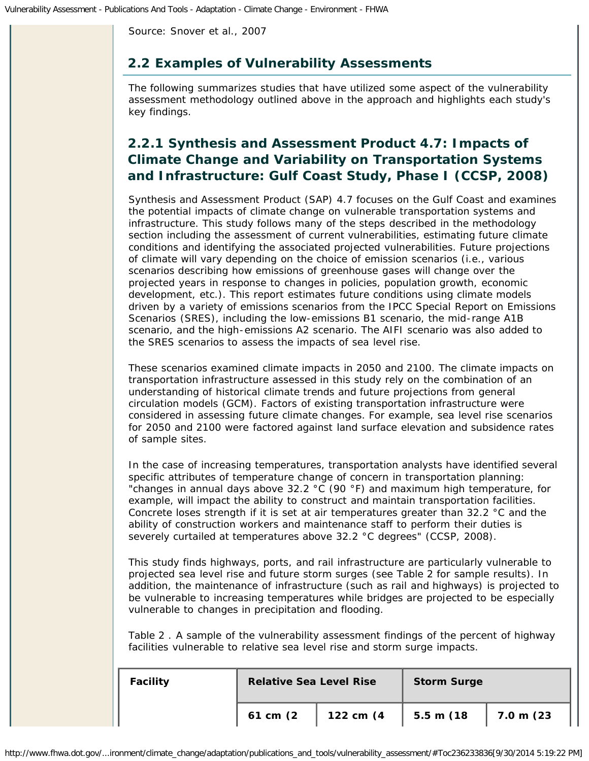Source: Snover et al., 2007

### <span id="page-6-0"></span>**2.2 Examples of Vulnerability Assessments**

The following summarizes studies that have utilized some aspect of the vulnerability assessment methodology outlined above in the approach and highlights each study's key findings.

# *2.2.1 Synthesis and Assessment Product 4.7: Impacts of Climate Change and Variability on Transportation Systems and Infrastructure: Gulf Coast Study, Phase I (CCSP, 2008)*

Synthesis and Assessment Product (SAP) 4.7 focuses on the Gulf Coast and examines the potential impacts of climate change on vulnerable transportation systems and infrastructure. This study follows many of the steps described in the methodology section including the assessment of current vulnerabilities, estimating future climate conditions and identifying the associated projected vulnerabilities. Future projections of climate will vary depending on the choice of emission scenarios (i.e., various scenarios describing how emissions of greenhouse gases will change over the projected years in response to changes in policies, population growth, economic development, etc.). This report estimates future conditions using climate models driven by a variety of emissions scenarios from the IPCC Special Report on Emissions Scenarios (SRES), including the low-emissions B1 scenario, the mid-range A1B scenario, and the high-emissions A2 scenario. The AIFI scenario was also added to the SRES scenarios to assess the impacts of sea level rise.

These scenarios examined climate impacts in 2050 and 2100. The climate impacts on transportation infrastructure assessed in this study rely on the combination of an understanding of historical climate trends and future projections from general circulation models (GCM). Factors of existing transportation infrastructure were considered in assessing future climate changes. For example, sea level rise scenarios for 2050 and 2100 were factored against land surface elevation and subsidence rates of sample sites.

In the case of increasing temperatures, transportation analysts have identified several specific attributes of temperature change of concern in transportation planning: "changes in annual days above 32.2 °C (90 °F) and maximum high temperature, for example, will impact the ability to construct and maintain transportation facilities. Concrete loses strength if it is set at air temperatures greater than 32.2 °C and the ability of construction workers and maintenance staff to perform their duties is severely curtailed at temperatures above 32.2 °C degrees" (CCSP, 2008).

This study finds highways, ports, and rail infrastructure are particularly vulnerable to projected sea level rise and future storm surges (see Table 2 for sample results). In addition, the maintenance of infrastructure (such as rail and highways) is projected to be vulnerable to increasing temperatures while bridges are projected to be especially vulnerable to changes in precipitation and flooding.

Table 2 . A sample of the vulnerability assessment findings of the percent of highway facilities vulnerable to relative sea level rise and storm surge impacts.

| <b>Facility</b> |          | <b>Relative Sea Level Rise</b> |           |                   |
|-----------------|----------|--------------------------------|-----------|-------------------|
|                 | 61 cm (2 | 122 cm (4                      | 5.5 m (18 | $\vert$ 7.0 m (23 |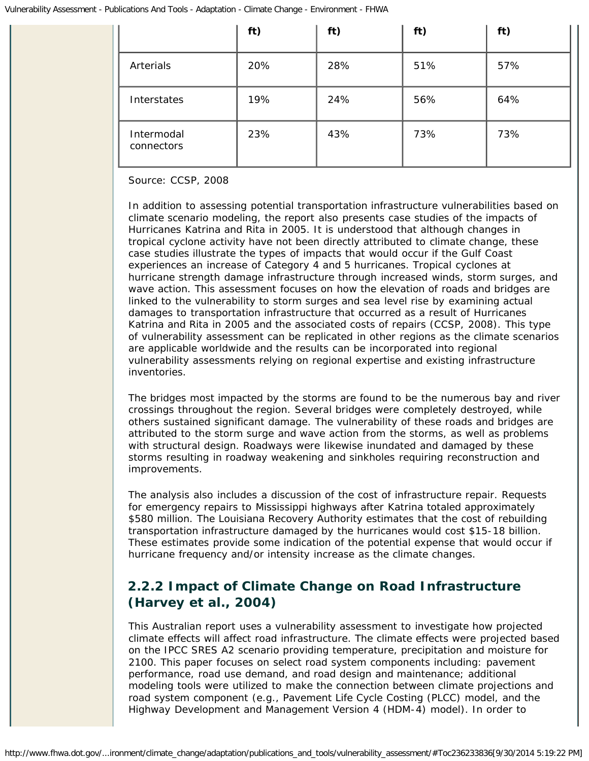|                          | ft) | ft) | ft) | ft) |
|--------------------------|-----|-----|-----|-----|
| Arterials                | 20% | 28% | 51% | 57% |
| Interstates              | 19% | 24% | 56% | 64% |
| Intermodal<br>connectors | 23% | 43% | 73% | 73% |

### Source: CCSP, 2008

In addition to assessing potential transportation infrastructure vulnerabilities based on climate scenario modeling, the report also presents case studies of the impacts of Hurricanes Katrina and Rita in 2005. It is understood that although changes in tropical cyclone activity have not been directly attributed to climate change, these case studies illustrate the types of impacts that would occur if the Gulf Coast experiences an increase of Category 4 and 5 hurricanes. Tropical cyclones at hurricane strength damage infrastructure through increased winds, storm surges, and wave action. This assessment focuses on how the elevation of roads and bridges are linked to the vulnerability to storm surges and sea level rise by examining actual damages to transportation infrastructure that occurred as a result of Hurricanes Katrina and Rita in 2005 and the associated costs of repairs (CCSP, 2008). This type of vulnerability assessment can be replicated in other regions as the climate scenarios are applicable worldwide and the results can be incorporated into regional vulnerability assessments relying on regional expertise and existing infrastructure inventories.

The bridges most impacted by the storms are found to be the numerous bay and river crossings throughout the region. Several bridges were completely destroyed, while others sustained significant damage. The vulnerability of these roads and bridges are attributed to the storm surge and wave action from the storms, as well as problems with structural design. Roadways were likewise inundated and damaged by these storms resulting in roadway weakening and sinkholes requiring reconstruction and improvements.

The analysis also includes a discussion of the cost of infrastructure repair. Requests for emergency repairs to Mississippi highways after Katrina totaled approximately \$580 million. The Louisiana Recovery Authority estimates that the cost of rebuilding transportation infrastructure damaged by the hurricanes would cost \$15-18 billion. These estimates provide some indication of the potential expense that would occur if hurricane frequency and/or intensity increase as the climate changes.

# *2.2.2 Impact of Climate Change on Road Infrastructure (Harvey et al., 2004)*

This Australian report uses a vulnerability assessment to investigate how projected climate effects will affect road infrastructure. The climate effects were projected based on the IPCC SRES A2 scenario providing temperature, precipitation and moisture for 2100. This paper focuses on select road system components including: pavement performance, road use demand, and road design and maintenance; additional modeling tools were utilized to make the connection between climate projections and road system component (e.g., Pavement Life Cycle Costing (PLCC) model, and the Highway Development and Management Version 4 (HDM-4) model). In order to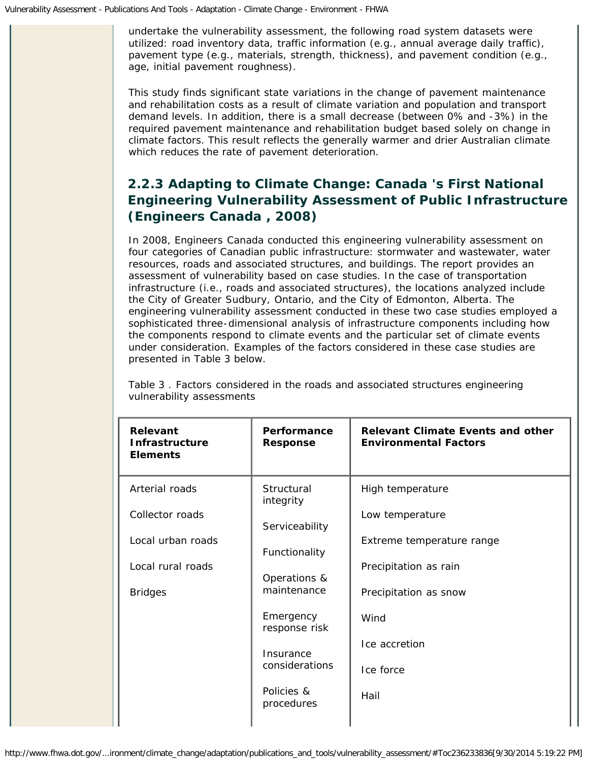undertake the vulnerability assessment, the following road system datasets were utilized: road inventory data, traffic information (e.g., annual average daily traffic), pavement type (e.g., materials, strength, thickness), and pavement condition (e.g., age, initial pavement roughness).

This study finds significant state variations in the change of pavement maintenance and rehabilitation costs as a result of climate variation and population and transport demand levels. In addition, there is a small decrease (between 0% and -3%) in the required pavement maintenance and rehabilitation budget based solely on change in climate factors. This result reflects the generally warmer and drier Australian climate which reduces the rate of pavement deterioration.

# *2.2.3 Adapting to Climate Change: Canada 's First National Engineering Vulnerability Assessment of Public Infrastructure (Engineers Canada , 2008)*

In 2008, Engineers Canada conducted this engineering vulnerability assessment on four categories of Canadian public infrastructure: stormwater and wastewater, water resources, roads and associated structures, and buildings. The report provides an assessment of vulnerability based on case studies. In the case of transportation infrastructure (i.e., roads and associated structures), the locations analyzed include the City of Greater Sudbury, Ontario, and the City of Edmonton, Alberta. The engineering vulnerability assessment conducted in these two case studies employed a sophisticated three-dimensional analysis of infrastructure components including how the components respond to climate events and the particular set of climate events under consideration. Examples of the factors considered in these case studies are presented in Table 3 below.

| <b>Relevant</b><br><b>Infrastructure</b><br><b>Elements</b> | Performance<br><b>Response</b> | <b>Relevant Climate Events and other</b><br><b>Environmental Factors</b> |
|-------------------------------------------------------------|--------------------------------|--------------------------------------------------------------------------|
| Arterial roads                                              | Structural<br>integrity        | High temperature                                                         |
| Collector roads                                             | Serviceability                 | Low temperature                                                          |
| Local urban roads                                           | Functionality                  | Extreme temperature range                                                |
| Local rural roads                                           | Operations &                   | Precipitation as rain                                                    |
| <b>Bridges</b>                                              | maintenance                    | Precipitation as snow                                                    |
|                                                             | Emergency<br>response risk     | Wind                                                                     |
|                                                             | Insurance                      | Ice accretion                                                            |
|                                                             | considerations                 | Ice force                                                                |
|                                                             | Policies &<br>procedures       | Hail                                                                     |
|                                                             |                                |                                                                          |

Table 3 . Factors considered in the roads and associated structures engineering vulnerability assessments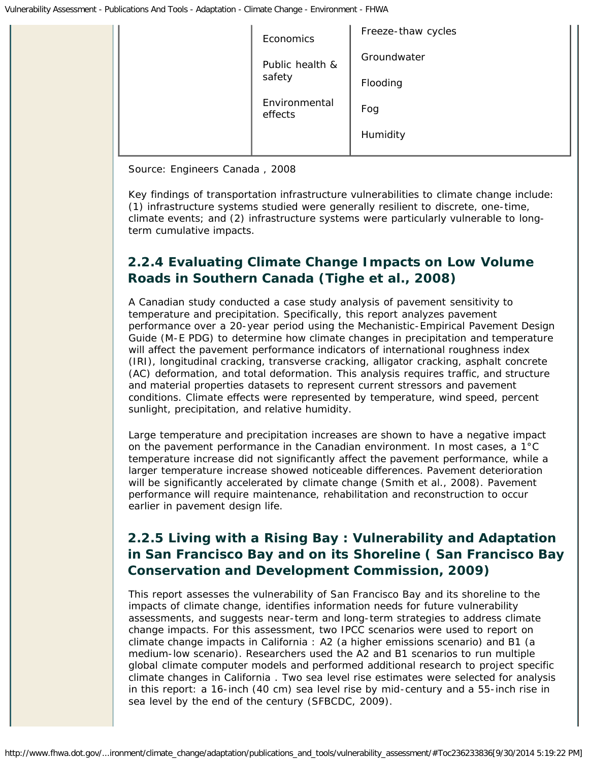| Economics                | Freeze-thaw cycles |
|--------------------------|--------------------|
| Public health &          | Groundwater        |
| safety                   | Flooding           |
| Environmental<br>effects | Fog                |
|                          | Humidity           |

Source: Engineers Canada , 2008

Key findings of transportation infrastructure vulnerabilities to climate change include: (1) infrastructure systems studied were generally resilient to discrete, one-time, climate events; and (2) infrastructure systems were particularly vulnerable to longterm cumulative impacts.

# *2.2.4 Evaluating Climate Change Impacts on Low Volume Roads in Southern Canada (Tighe et al., 2008)*

A Canadian study conducted a case study analysis of pavement sensitivity to temperature and precipitation. Specifically, this report analyzes pavement performance over a 20-year period using the Mechanistic-Empirical Pavement Design Guide (M-E PDG) to determine how climate changes in precipitation and temperature will affect the pavement performance indicators of international roughness index (IRI), longitudinal cracking, transverse cracking, alligator cracking, asphalt concrete (AC) deformation, and total deformation. This analysis requires traffic, and structure and material properties datasets to represent current stressors and pavement conditions. Climate effects were represented by temperature, wind speed, percent sunlight, precipitation, and relative humidity.

Large temperature and precipitation increases are shown to have a negative impact on the pavement performance in the Canadian environment. In most cases, a 1°C temperature increase did not significantly affect the pavement performance, while a larger temperature increase showed noticeable differences. Pavement deterioration will be significantly accelerated by climate change (Smith et al., 2008). Pavement performance will require maintenance, rehabilitation and reconstruction to occur earlier in pavement design life.

# *2.2.5 Living with a Rising Bay : Vulnerability and Adaptation in San Francisco Bay and on its Shoreline ( San Francisco Bay Conservation and Development Commission, 2009)*

This report assesses the vulnerability of San Francisco Bay and its shoreline to the impacts of climate change, identifies information needs for future vulnerability assessments, and suggests near-term and long-term strategies to address climate change impacts. For this assessment, two IPCC scenarios were used to report on climate change impacts in California : A2 (a higher emissions scenario) and B1 (a medium-low scenario). Researchers used the A2 and B1 scenarios to run multiple global climate computer models and performed additional research to project specific climate changes in California . Two sea level rise estimates were selected for analysis in this report: a 16-inch (40 cm) sea level rise by mid-century and a 55-inch rise in sea level by the end of the century (SFBCDC, 2009).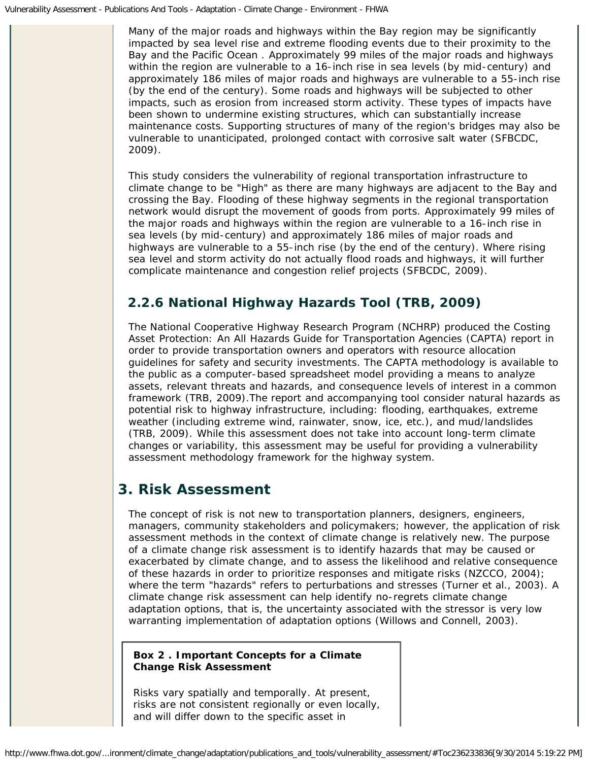Many of the major roads and highways within the Bay region may be significantly impacted by sea level rise and extreme flooding events due to their proximity to the Bay and the Pacific Ocean . Approximately 99 miles of the major roads and highways within the region are vulnerable to a 16-inch rise in sea levels (by mid-century) and approximately 186 miles of major roads and highways are vulnerable to a 55-inch rise (by the end of the century). Some roads and highways will be subjected to other impacts, such as erosion from increased storm activity. These types of impacts have been shown to undermine existing structures, which can substantially increase maintenance costs. Supporting structures of many of the region's bridges may also be vulnerable to unanticipated, prolonged contact with corrosive salt water (SFBCDC, 2009).

This study considers the vulnerability of regional transportation infrastructure to climate change to be "High" as there are many highways are adjacent to the Bay and crossing the Bay. Flooding of these highway segments in the regional transportation network would disrupt the movement of goods from ports. Approximately 99 miles of the major roads and highways within the region are vulnerable to a 16-inch rise in sea levels (by mid-century) and approximately 186 miles of major roads and highways are vulnerable to a 55-inch rise (by the end of the century). Where rising sea level and storm activity do not actually flood roads and highways, it will further complicate maintenance and congestion relief projects (SFBCDC, 2009).

# *2.2.6 National Highway Hazards Tool (TRB, 2009)*

The National Cooperative Highway Research Program (NCHRP) produced the *Costing Asset Protection: An All Hazards Guide for Transportation Agencies (CAPTA)* report in order to provide transportation owners and operators with resource allocation guidelines for safety and security investments. The CAPTA methodology is available to the public as a computer-based spreadsheet model providing a means to analyze assets, relevant threats and hazards, and consequence levels of interest in a common framework (TRB, 2009).The report and accompanying tool consider natural hazards as potential risk to highway infrastructure, including: flooding, earthquakes, extreme weather (including extreme wind, rainwater, snow, ice, etc.), and mud/landslides (TRB, 2009). While this assessment does not take into account long-term climate changes or variability, this assessment may be useful for providing a vulnerability assessment methodology framework for the highway system.

# <span id="page-10-0"></span>**3. Risk Assessment**

The concept of risk is not new to transportation planners, designers, engineers, managers, community stakeholders and policymakers; however, the application of risk assessment methods in the context of climate change is relatively new. The purpose of a climate change risk assessment is to identify hazards that may be caused or exacerbated by climate change, and to assess the likelihood and relative consequence of these hazards in order to prioritize responses and mitigate risks (NZCCO, 2004); where the term "hazards" refers to perturbations and stresses (Turner et al., 2003). A climate change risk assessment can help identify no-regrets climate change adaptation options, that is, the uncertainty associated with the stressor is very low warranting implementation of adaptation options (Willows and Connell, 2003).

### **Box 2 . Important Concepts for a Climate Change Risk Assessment**

*Risks vary spatially and temporally*. At present, risks are not consistent regionally or even locally, and will differ down to the specific asset in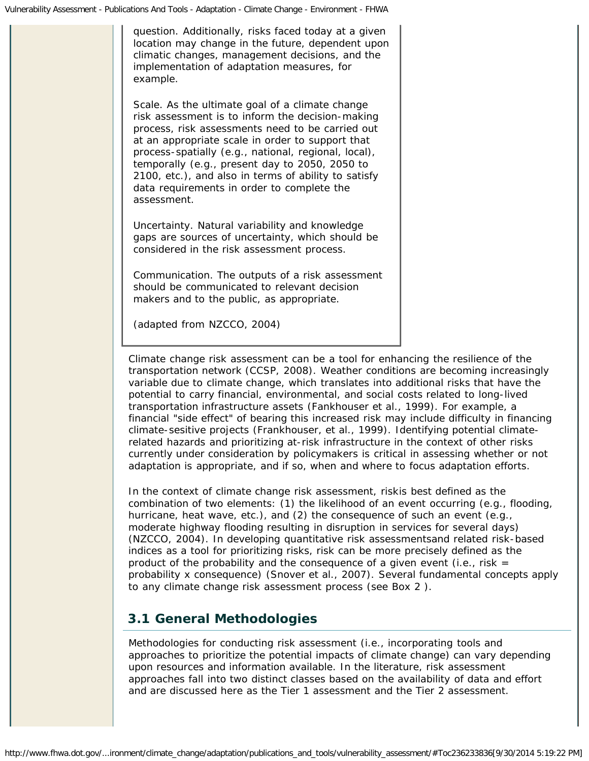question. Additionally, risks faced today at a given location may change in the future, dependent upon climatic changes, management decisions, and the implementation of adaptation measures, for example.

*Scale.* As the ultimate goal of a climate change risk assessment is to inform the decision-making process, risk assessments need to be carried out at an appropriate scale in order to support that process-spatially (e.g., national, regional, local), temporally (e.g., present day to 2050, 2050 to 2100, etc.), and also in terms of ability to satisfy data requirements in order to complete the assessment.

*Uncertainty.* Natural variability and knowledge gaps are sources of uncertainty, which should be considered in the risk assessment process.

*Communication.* The outputs of a risk assessment should be communicated to relevant decision makers and to the public, as appropriate.

*(adapted from NZCCO, 2004)*

Climate change risk assessment can be a tool for enhancing the resilience of the transportation network (CCSP, 2008). Weather conditions are becoming increasingly variable due to climate change, which translates into additional risks that have the potential to carry financial, environmental, and social costs related to long-lived transportation infrastructure assets (Fankhouser et al., 1999). For example, a financial "side effect" of bearing this increased risk may include difficulty in financing climate-sesitive projects (Frankhouser, et al., 1999). Identifying potential climaterelated hazards and prioritizing at-risk infrastructure in the context of other risks currently under consideration by policymakers is critical in assessing whether or not adaptation is appropriate, and if so, *when* and *where* to focus adaptation efforts.

In the context of climate change risk assessment, *risk*is best defined as the combination of two elements: (1) the likelihood of an event occurring (e.g., flooding, hurricane, heat wave, etc.), and (2) the consequence of such an event (e.g., moderate highway flooding resulting in disruption in services for several days) (NZCCO, 2004). In developing quantitative risk assessmentsand related risk-based indices as a tool for prioritizing risks, risk can be more precisely defined as the product of the probability and the consequence of a given event (i.e., risk  $=$ probability x consequence) (Snover et al., 2007). Several fundamental concepts apply to any climate change risk assessment process (see Box 2 ).

### <span id="page-11-0"></span>**3.1 General Methodologies**

Methodologies for conducting risk assessment (i.e., incorporating tools and approaches to prioritize the potential impacts of climate change) can vary depending upon resources and information available. In the literature, risk assessment approaches fall into two distinct classes based on the availability of data and effort and are discussed here as the Tier 1 assessment and the Tier 2 assessment.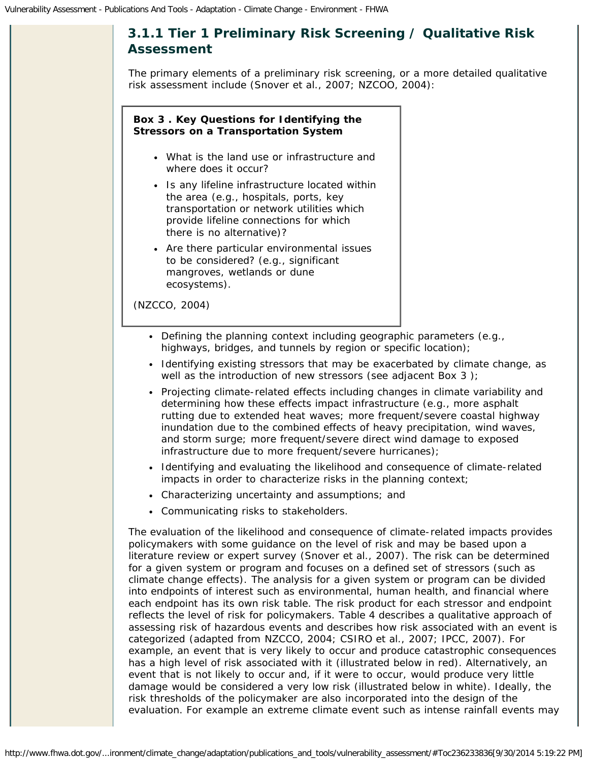

The primary elements of a preliminary risk screening, or a more detailed qualitative risk assessment include (Snover et al., 2007; NZCOO, 2004):

### **Box 3 . Key Questions for Identifying the Stressors on a Transportation System**

- What is the land use or infrastructure and where does it occur?
- Is any lifeline infrastructure located within the area (e.g., hospitals, ports, key transportation or network utilities which provide lifeline connections for which there is no alternative)?
- Are there particular environmental issues to be considered? (e.g., significant mangroves, wetlands or dune ecosystems).

*(NZCCO, 2004)*

- Defining the planning context including geographic parameters (e.g., highways, bridges, and tunnels by region or specific location);
- Identifying existing stressors that may be exacerbated by climate change, as well as the introduction of new stressors (see adjacent Box 3);
- Projecting climate-related effects including changes in climate variability and determining how these effects impact infrastructure (e.g., more asphalt rutting due to extended heat waves; more frequent/severe coastal highway inundation due to the combined effects of heavy precipitation, wind waves, and storm surge; more frequent/severe direct wind damage to exposed infrastructure due to more frequent/severe hurricanes);
- Identifying and evaluating the likelihood and consequence of climate-related impacts in order to characterize risks in the planning context;
- Characterizing uncertainty and assumptions; and
- Communicating risks to stakeholders.

The evaluation of the likelihood and consequence of climate-related impacts provides policymakers with some guidance on the level of risk and may be based upon a literature review or expert survey (Snover et al., 2007). The risk can be determined for a given system or program and focuses on a defined set of stressors (such as climate change effects). The analysis for a given system or program can be divided into endpoints of interest such as environmental, human health, and financial where each endpoint has its own risk table. The risk product for each stressor and endpoint reflects the level of risk for policymakers. Table 4 describes a qualitative approach of assessing risk of hazardous events and describes how risk associated with an event is categorized (adapted from NZCCO, 2004; CSIRO et al., 2007; IPCC, 2007). For example, an event that is very likely to occur and produce catastrophic consequences has a high level of risk associated with it (illustrated below in red). Alternatively, an event that is not likely to occur and, if it were to occur, would produce very little damage would be considered a very low risk (illustrated below in white). Ideally, the risk thresholds of the policymaker are also incorporated into the design of the evaluation. For example an extreme climate event such as intense rainfall events may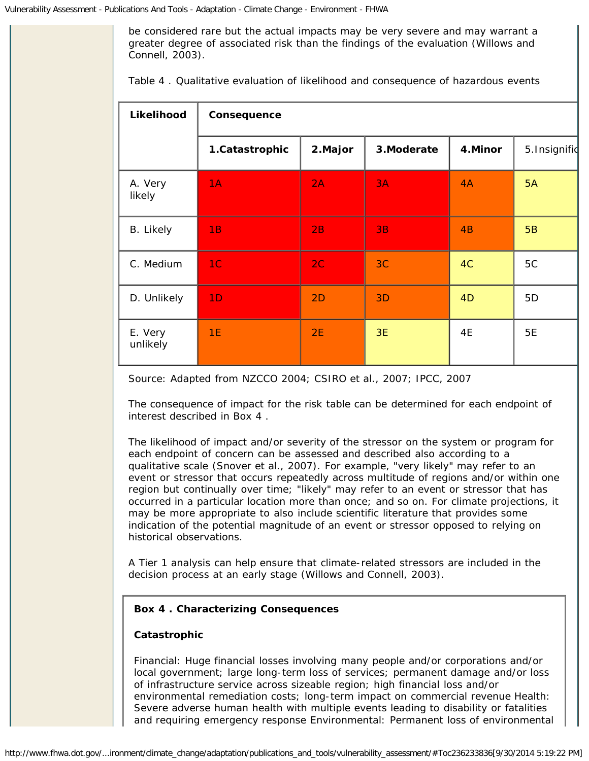be considered rare but the actual impacts may be very severe and may warrant a greater degree of associated risk than the findings of the evaluation (Willows and Connell, 2003).

| Likelihood          | Consequence    |         |             |         |               |  |  |  |
|---------------------|----------------|---------|-------------|---------|---------------|--|--|--|
|                     | 1.Catastrophic | 2.Major | 3. Moderate | 4.Minor | 5. Insignifid |  |  |  |
| A. Very<br>likely   | 1A             | 2A      | <b>3A</b>   | 4A      | <b>5A</b>     |  |  |  |
| <b>B.</b> Likely    | 1B             | 2B      | 3B          | 4B      | 5B            |  |  |  |
| C. Medium           | 1 <sup>C</sup> | 2C      | 3C          | 4C      | 5C            |  |  |  |
| D. Unlikely         | 1 <sub>D</sub> | 2D      | 3D          | 4D      | 5D            |  |  |  |
| E. Very<br>unlikely | 1E             | 2E      | 3E          | 4E      | 5E            |  |  |  |

Source: Adapted from NZCCO 2004; CSIRO et al., 2007; IPCC, 2007

The consequence of impact for the risk table can be determined for each endpoint of interest described in Box 4 .

The likelihood of impact and/or severity of the stressor on the system or program for each endpoint of concern can be assessed and described also according to a qualitative scale (Snover et al., 2007). For example, "very likely" may refer to an event or stressor that occurs repeatedly across multitude of regions and/or within one region but continually over time; "likely" may refer to an event or stressor that has occurred in a particular location more than once; and so on. For climate projections, it may be more appropriate to also include scientific literature that provides some indication of the potential magnitude of an event or stressor opposed to relying on historical observations.

A Tier 1 analysis can help ensure that climate-related stressors are included in the decision process at an early stage (Willows and Connell, 2003).

### **Box 4 . Characterizing Consequences**

#### **Catastrophic**

Financial: Huge financial losses involving many people and/or corporations and/or local government; large long-term loss of services; permanent damage and/or loss of infrastructure service across sizeable region; high financial loss and/or environmental remediation costs; long-term impact on commercial revenue Health: Severe adverse human health with multiple events leading to disability or fatalities and requiring emergency response Environmental: Permanent loss of environmental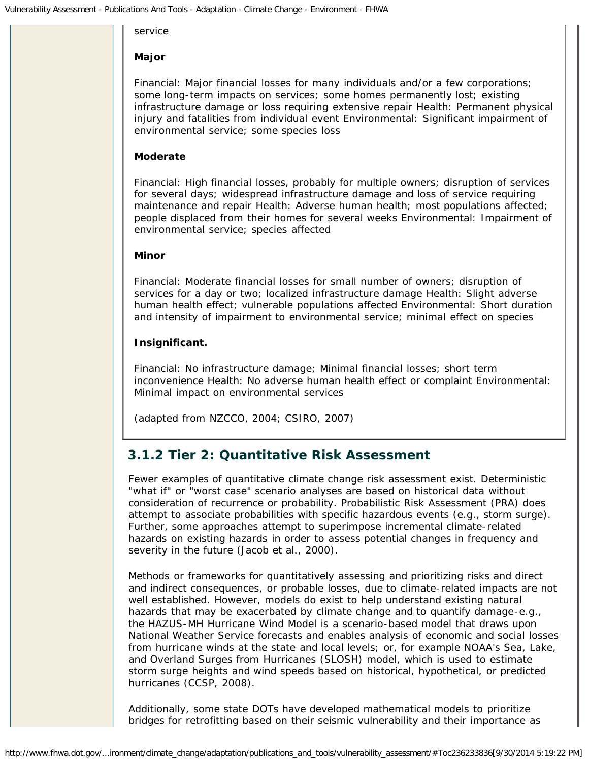#### service

### **Major**

Financial: Major financial losses for many individuals and/or a few corporations; some long-term impacts on services; some homes permanently lost; existing infrastructure damage or loss requiring extensive repair Health: Permanent physical injury and fatalities from individual event Environmental: Significant impairment of environmental service; some species loss

### **Moderate**

Financial: High financial losses, probably for multiple owners; disruption of services for several days; widespread infrastructure damage and loss of service requiring maintenance and repair Health: Adverse human health; most populations affected; people displaced from their homes for several weeks Environmental: Impairment of environmental service; species affected

### **Minor**

Financial: Moderate financial losses for small number of owners; disruption of services for a day or two; localized infrastructure damage Health: Slight adverse human health effect; vulnerable populations affected Environmental: Short duration and intensity of impairment to environmental service; minimal effect on species

### **Insignificant.**

Financial: No infrastructure damage; Minimal financial losses; short term inconvenience Health: No adverse human health effect or complaint Environmental: Minimal impact on environmental services

*(adapted from NZCCO, 2004; CSIRO, 2007)*

# *3.1.2 Tier 2: Quantitative Risk Assessment*

Fewer examples of quantitative climate change risk assessment exist. Deterministic "what if" or "worst case" scenario analyses are based on historical data without consideration of recurrence or probability. Probabilistic Risk Assessment (PRA) does attempt to associate probabilities with specific hazardous events (e.g., storm surge). Further, some approaches attempt to superimpose incremental climate-related hazards on existing hazards in order to assess potential changes in frequency and severity in the future (Jacob et al., 2000).

Methods or frameworks for quantitatively assessing and prioritizing risks and direct and indirect consequences, or probable losses, due to climate-related impacts are not well established. However, models do exist to help understand existing natural hazards that may be exacerbated by climate change and to quantify damage-e.g., the HAZUS-MH Hurricane Wind Model is a scenario-based model that draws upon National Weather Service forecasts and enables analysis of economic and social losses from hurricane winds at the state and local levels; or, for example NOAA's Sea, Lake, and Overland Surges from Hurricanes (SLOSH) model, which is used to estimate storm surge heights and wind speeds based on historical, hypothetical, or predicted hurricanes (CCSP, 2008).

Additionally, some state DOTs have developed mathematical models to prioritize bridges for retrofitting based on their seismic vulnerability and their importance as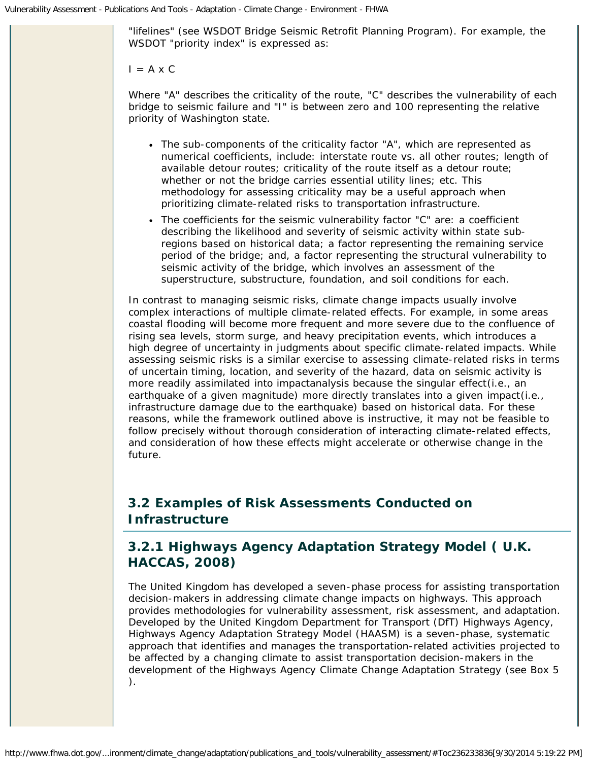"lifelines" (see WSDOT Bridge Seismic Retrofit Planning Program). For example, the WSDOT "priority index" is expressed as:

#### $I = A \times C$

Where "A" describes the criticality of the route, "C" describes the vulnerability of each bridge to seismic failure and "I" is between zero and 100 representing the relative priority of Washington state.

- The sub-components of the criticality factor "A", which are represented as numerical coefficients, include: interstate route vs. all other routes; length of available detour routes; criticality of the route itself as a detour route; whether or not the bridge carries essential utility lines; etc. This methodology for assessing criticality may be a useful approach when prioritizing climate-related risks to transportation infrastructure.
- The coefficients for the seismic vulnerability factor "C" are: a coefficient describing the likelihood and severity of seismic activity within state subregions based on historical data; a factor representing the remaining service period of the bridge; and, a factor representing the structural vulnerability to seismic activity of the bridge, which involves an assessment of the superstructure, substructure, foundation, and soil conditions for each.

In contrast to managing seismic risks, climate change impacts usually involve complex interactions of multiple climate-related effects. For example, in some areas coastal flooding will become more frequent and more severe due to the confluence of rising sea levels, storm surge, and heavy precipitation events, which introduces a high degree of uncertainty in judgments about specific climate-related impacts. While assessing seismic risks is a similar exercise to assessing climate-related risks in terms of uncertain timing, location, and severity of the hazard, data on seismic activity is more readily assimilated into impactanalysis because the singular *effect*(i.e., an earthquake of a given magnitude) more directly translates into a given *impact*(i.e., infrastructure damage due to the earthquake) based on historical data. For these reasons, while the framework outlined above is instructive, it may not be feasible to follow precisely without thorough consideration of interacting climate-related effects, and consideration of how these effects might accelerate or otherwise change in the future.

# <span id="page-15-0"></span>**3.2 Examples of Risk Assessments Conducted on Infrastructure**

### *3.2.1 Highways Agency Adaptation Strategy Model ( U.K. HACCAS, 2008)*

The United Kingdom has developed a seven-phase process for assisting transportation decision-makers in addressing climate change impacts on highways. This approach provides methodologies for vulnerability assessment, risk assessment, and adaptation. Developed by the United Kingdom Department for Transport (DfT) Highways Agency, Highways Agency Adaptation Strategy Model *(*HAASM) is a seven-phase, systematic approach that identifies and manages the transportation-related activities projected to be affected by a changing climate to assist transportation decision-makers in the development of the Highways Agency Climate Change Adaptation Strategy (see Box 5 ).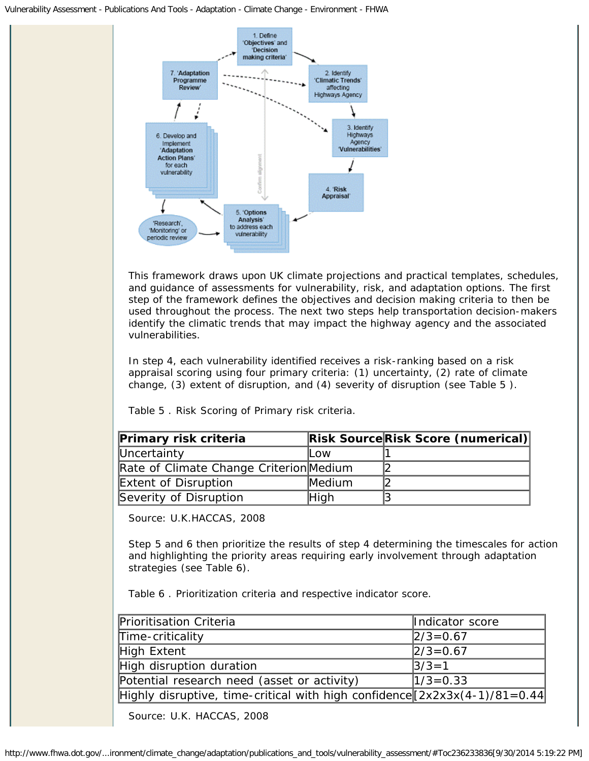#### Vulnerability Assessment - Publications And Tools - Adaptation - Climate Change - Environment - FHWA



This framework draws upon UK climate projections and practical templates, schedules, and guidance of assessments for vulnerability, risk, and adaptation options. The first step of the framework defines the objectives and decision making criteria to then be used throughout the process. The next two steps help transportation decision-makers identify the climatic trends that may impact the highway agency and the associated vulnerabilities.

In step 4, each vulnerability identified receives a risk-ranking based on a risk appraisal scoring using four primary criteria: (1) uncertainty, (2) rate of climate change, (3) extent of disruption, and (4) severity of disruption (see Table 5 ).

Table 5 . Risk Scoring of Primary risk criteria.

| Primary risk criteria                   |        | <b>Risk SourceRisk Score (numerical)</b> |
|-----------------------------------------|--------|------------------------------------------|
| Uncertainty                             | lLow   |                                          |
| Rate of Climate Change Criterion Medium |        |                                          |
| Extent of Disruption                    | Medium |                                          |
| Severity of Disruption                  | High   |                                          |

Source: U.K.HACCAS, 2008

Step 5 and 6 then prioritize the results of step 4 determining the timescales for action and highlighting the priority areas requiring early involvement through adaptation strategies (see Table 6).

Table 6 . Prioritization criteria and respective indicator score.

| <b>Prioritisation Criteria</b>                                                | Indicator score |
|-------------------------------------------------------------------------------|-----------------|
| Time-criticality                                                              | $2/3 = 0.67$    |
| High Extent                                                                   | $ 2/3=0.67$     |
| High disruption duration                                                      | $ 3/3=1$        |
| Potential research need (asset or activity)                                   | $1/3 = 0.33$    |
| Highly disruptive, time-critical with high confidence $[2x2x3x(4-1)/81=0.44]$ |                 |

Source: U.K. HACCAS, 2008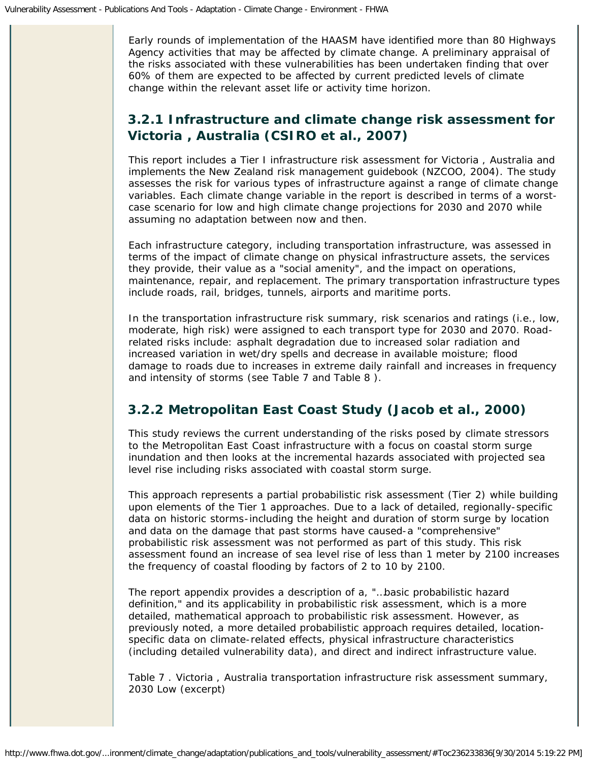Early rounds of implementation of the HAASM have identified more than 80 Highways Agency activities that may be affected by climate change. A preliminary appraisal of the risks associated with these vulnerabilities has been undertaken finding that over 60% of them are expected to be affected by current predicted levels of climate change within the relevant asset life or activity time horizon.

### *3.2.1 Infrastructure and climate change risk assessment for Victoria , Australia (CSIRO et al., 2007)*

This report includes a Tier I infrastructure risk assessment for Victoria , Australia and implements the New Zealand risk management guidebook (NZCOO, 2004). The study assesses the risk for various types of infrastructure against a range of climate change variables. Each climate change variable in the report is described in terms of a worstcase scenario for low and high climate change projections for 2030 and 2070 while assuming no adaptation between now and then.

Each infrastructure category, including transportation infrastructure, was assessed in terms of the impact of climate change on physical infrastructure assets, the services they provide, their value as a "social amenity", and the impact on operations, maintenance, repair, and replacement. The primary transportation infrastructure types include roads, rail, bridges, tunnels, airports and maritime ports.

In the transportation infrastructure risk summary, risk scenarios and ratings (i.e., low, moderate, high risk) were assigned to each transport type for 2030 and 2070. Roadrelated risks include: asphalt degradation due to increased solar radiation and increased variation in wet/dry spells and decrease in available moisture; flood damage to roads due to increases in extreme daily rainfall and increases in frequency and intensity of storms (see Table 7 and Table 8 ).

# *3.2.2 Metropolitan East Coast Study (Jacob et al., 2000)*

This study reviews the current understanding of the risks posed by climate stressors to the Metropolitan East Coast infrastructure with a focus on coastal storm surge inundation and then looks at the incremental hazards associated with projected sea level rise including risks associated with coastal storm surge.

This approach represents a partial probabilistic risk assessment (Tier 2) while building upon elements of the Tier 1 approaches. Due to a lack of detailed, regionally-specific data on historic storms-including the height and duration of storm surge by location and data on the damage that past storms have caused-a "comprehensive" probabilistic risk assessment was not performed as part of this study. This risk assessment found an increase of sea level rise of less than 1 meter by 2100 increases the frequency of coastal flooding by factors of 2 to 10 by 2100.

The report appendix provides a description of a, "…basic probabilistic hazard definition," and its applicability in probabilistic risk assessment, which is a more detailed, mathematical approach to probabilistic risk assessment. However, as previously noted, a more detailed probabilistic approach requires detailed, locationspecific data on climate-related effects, physical infrastructure characteristics (including detailed vulnerability data), and direct and indirect infrastructure value.

Table 7 . Victoria , Australia transportation infrastructure risk assessment summary, 2030 Low (excerpt)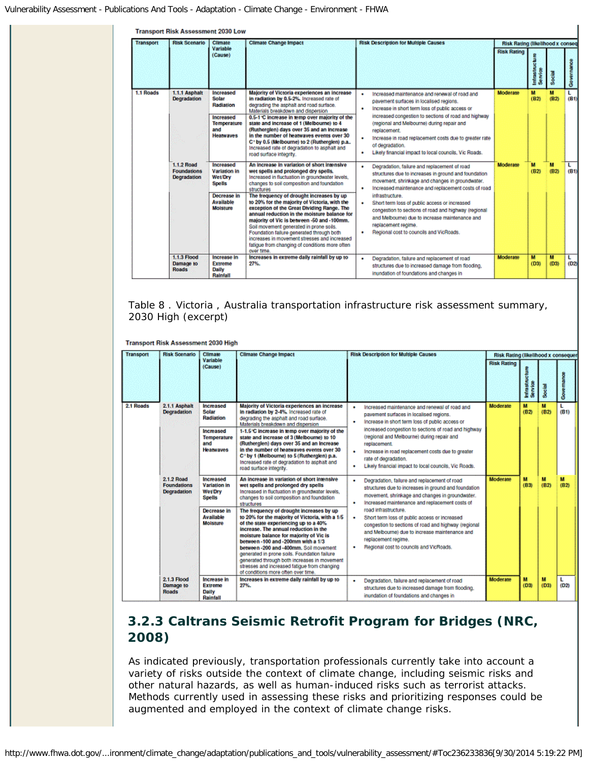| <b>Transport</b> | <b>Risk Scenario</b>                                   | <b>Climate</b>                                                                                              | <b>Climate Change Impact</b>                                                                                                                                                                                                                                                                                                                                                                                                                                                                                                                                                                                                                       | <b>Risk Description for Multiple Causes</b>                                                                                                                                                                                                                                                                                                                                                                                                                         | Risk Rating (likelihood x conseq |                      |           |            |
|------------------|--------------------------------------------------------|-------------------------------------------------------------------------------------------------------------|----------------------------------------------------------------------------------------------------------------------------------------------------------------------------------------------------------------------------------------------------------------------------------------------------------------------------------------------------------------------------------------------------------------------------------------------------------------------------------------------------------------------------------------------------------------------------------------------------------------------------------------------------|---------------------------------------------------------------------------------------------------------------------------------------------------------------------------------------------------------------------------------------------------------------------------------------------------------------------------------------------------------------------------------------------------------------------------------------------------------------------|----------------------------------|----------------------|-----------|------------|
|                  |                                                        | Variable<br>(Cause)                                                                                         |                                                                                                                                                                                                                                                                                                                                                                                                                                                                                                                                                                                                                                                    |                                                                                                                                                                                                                                                                                                                                                                                                                                                                     | <b>Risk Rating</b>               | Infrastru<br>Service | Social    | Governance |
| 1.1 Roads        | 1.1.1 Asphalt<br><b>Degradation</b>                    | Increased<br>Solar<br>Radiation<br>Increased<br><b>Temperature</b><br>and<br><b>Heatwayes</b>               | Majority of Victoria experiences an increase<br>in radiation by 0.5-2%. Increased rate of<br>degrading the asphalt and road surface.<br>Materials breakdown and dispersion<br>0.5-1 °C increase in temp over majority of the<br>state and increase of 1 (Melbourne) to 4<br>(Ruthergien) days over 35 and an increase<br>in the number of heatwaves events over 30<br>C <sup>-</sup> by 0.5 (Melbourne) to 2 (Rutherglen) p.a<br>Increased rate of degradation to asphalt and<br>road surface integrity.                                                                                                                                           | Increased maintenance and renewal of road and<br>pavement surfaces in localised regions.<br>Increase in short term loss of public access or<br>٠<br>increased congestion to sections of road and highway<br>(regional and Melbourne) during repair and<br>replacement.<br>Increase in road replacement costs due to greater rate<br>of degradation.<br>Likely financial impact to local councils, Vic Roads.<br>٠                                                   | Moderate                         | M<br>(B2)            | м<br>(B2) | L<br>(B1)  |
|                  | 1.1.2 Road<br><b>Foundations</b><br><b>Degradation</b> | Increased<br>Variation in<br><b>Wet/Dry</b><br><b>Spells</b><br>Decrease in<br><b>Available</b><br>Moisture | An increase in variation of short imensive<br>wet spells and prolonged dry spells.<br>Increased in fluctuation in groundwater levels.<br>changes to soil composition and foundation<br>structures<br>The frequency of drought increases by up<br>to 20% for the majority of Victoria, with the<br>exception of the Great Dividing Range. The<br>annual reduction in the moisture balance for<br>majority of Vic is between -50 and -100mm.<br>Soil movement generated in prone soils.<br>Foundation failure generated through both<br>increases in movement stresses and increased<br>fatigue from changing of conditions more often<br>over time. | Degradation, failure and replacement of road<br>٠<br>structures due to increases in ground and foundation<br>movement, shrinkage and changes in groundwater,<br>Increased maintenance and replacement costs of road<br>infrastructure.<br>Short term loss of public access or increased<br>congestion to sections of road and highway (regional<br>and Melbourne) due to increase maintenance and<br>replacement regime.<br>Regional cost to councils and VicRoads. | Moderate                         | м<br>(B2)            | м<br>(82) | L<br>(B1)  |
|                  | 1.1.3 Flood<br>Damage to<br><b>Roads</b>               | <b>Increase in</b><br><b>Extreme</b><br>Daily<br>Rainfall                                                   | Increases in extreme daily rainfall by up to<br>27%.                                                                                                                                                                                                                                                                                                                                                                                                                                                                                                                                                                                               | Degradation, failure and replacement of road<br>structures due to increased damage from flooding,<br>inundation of foundations and changes in                                                                                                                                                                                                                                                                                                                       | Moderate                         | M<br>(D3)            | M<br>(D3) | L.<br>(02) |

 $\mathbf{r}$ 

#### Table 8 . Victoria , Australia transportation infrastructure risk assessment summary, 2030 High (excerpt)

Transport Risk Assessment 2030 High

| <b>Transport</b> | <b>Risk Scenario</b>                                   | Climate                                                                                                     | <b>Climate Change Impact</b>                                                                                                                                                                                                                                                                                                                                                                                                                                                                                                                                                                                                                                                                         | <b>Risk Description for Multiple Causes</b>                                                                                                                                                                                                                                                                                                                                                                                                                                        | <b>Risk Rating (likelihood x consequer</b> |                           |           |            |
|------------------|--------------------------------------------------------|-------------------------------------------------------------------------------------------------------------|------------------------------------------------------------------------------------------------------------------------------------------------------------------------------------------------------------------------------------------------------------------------------------------------------------------------------------------------------------------------------------------------------------------------------------------------------------------------------------------------------------------------------------------------------------------------------------------------------------------------------------------------------------------------------------------------------|------------------------------------------------------------------------------------------------------------------------------------------------------------------------------------------------------------------------------------------------------------------------------------------------------------------------------------------------------------------------------------------------------------------------------------------------------------------------------------|--------------------------------------------|---------------------------|-----------|------------|
|                  |                                                        | Variable<br>(Cause)                                                                                         |                                                                                                                                                                                                                                                                                                                                                                                                                                                                                                                                                                                                                                                                                                      |                                                                                                                                                                                                                                                                                                                                                                                                                                                                                    | <b>Risk Rating</b>                         | Infrastructure<br>Service | Social    | Governance |
| 2.1 Roads        | 2.1.1 Asphalt<br><b>Decradation</b>                    | Increased<br>Solar<br><b>Radiation</b><br>Increased<br><b>Temperature</b><br>and<br><b>Heatwaves</b>        | Majority of Victoria experiences an increase<br>in radiation by 2-4%, increased rate of<br>degrading the asphalt and road surface.<br>Materials breakdown and dispersion<br>1-1.5 °C increase in temp over majority of the<br>state and increase of 3 (Melbourne) to 10<br>(Rutherglen) days over 35 and an increase<br>in the number of heatwayes events over 30<br>C° by 1 (Melbourne) to 5 (Rutherglen) p.a.<br>Increased rate of degradation to asphalt and<br>road surface integrity.                                                                                                                                                                                                           | Increased maintenance and renewal of road and<br>۰<br>pavement surfaces in localised regions.<br>Increase in short term loss of public access or<br>٠<br>increased congestion to sections of road and highway<br>(regional and Melbourne) during repair and<br>replacement.<br>Increase in road replacement costs due to greater<br>٠<br>rate of degradation.<br>Likely financial impact to local councils. Vic Roads.<br>۰                                                        | Moderate                                   | м<br>(B2)                 | м<br>(B2) | L<br>(B1)  |
|                  | 2.1.2 Road<br><b>Foundations</b><br><b>Degradation</b> | Increased<br><b>Variation in</b><br><b>Wet Dry</b><br>Spells<br>Decrease in<br><b>Available</b><br>Molsture | An increase in variation of short intensive<br>wet spells and prolonged dry spells<br>Increased in fluctuation in groundwater levels,<br>changes to soil composition and foundation<br>structures<br>The frequency of drought increases by up<br>to 20% for the majority of Victoria, with a 1/5<br>of the state experiencing up to a 40%<br>increase. The annual reduction in the<br>moisture balance for majority of Vic is<br>between -100 and -200mm with a 1/3<br>between -200 and -400mm, Soil movement<br>generated in prone soils. Foundation failure<br>generated through both increases in movement<br>stresses and increased fatigue from changing<br>of conditions more often over time. | Degradation, failure and replacement of road<br>۰<br>structures due to increases in ground and foundation<br>movement, shrinkage and changes in groundwater.<br>Increased maintenance and replacement costs of<br>٠<br>road infrastructure.<br>٠<br>Short term loss of public access or increased<br>congestion to sections of road and highway (regional<br>and Melbourne) due to increase maintenance and<br>replacement regime.<br>Regional cost to councils and VicRoads.<br>٠ | Moderate                                   | м<br>(B3)                 | м<br>(B2) | м<br>(B2)  |
|                  | 2.1.3 Flood<br>Damage to<br><b>Roads</b>               | Increase in<br>Extreme<br>Daily<br><b>Raintall</b>                                                          | Increases in extreme daily rainfall by up to<br>27%.                                                                                                                                                                                                                                                                                                                                                                                                                                                                                                                                                                                                                                                 | Degradation, failure and replacement of road<br>٠<br>structures due to increased damage from flooding.<br>inundation of foundations and changes in                                                                                                                                                                                                                                                                                                                                 | <b>Moderate</b>                            | м<br>(D3)                 | м<br>(D3) | L<br>(D2)  |

# *3.2.3 Caltrans Seismic Retrofit Program for Bridges (NRC, 2008)*

As indicated previously, transportation professionals currently take into account a variety of risks outside the context of climate change, including seismic risks and other natural hazards, as well as human-induced risks such as terrorist attacks. Methods currently used in assessing these risks and prioritizing responses could be augmented and employed in the context of climate change risks.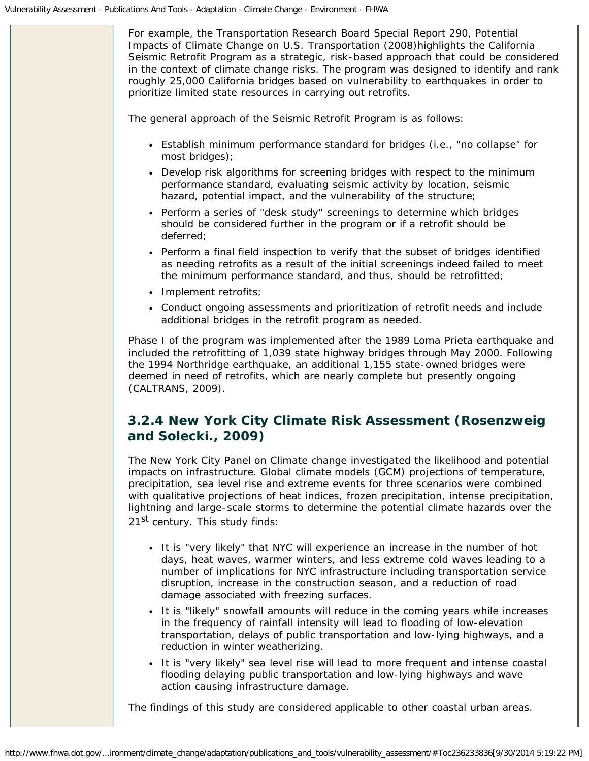For example, the Transportation Research Board Special Report 290, *Potential Impacts of Climate Change on U.S. Transportation* (2008)highlights the California Seismic Retrofit Program as a strategic, risk-based approach that could be considered in the context of climate change risks. The program was designed to identify and rank roughly 25,000 California bridges based on vulnerability to earthquakes in order to prioritize limited state resources in carrying out retrofits.

The general approach of the Seismic Retrofit Program is as follows:

- Establish minimum performance standard for bridges (i.e., "no collapse" for most bridges);
- Develop risk algorithms for screening bridges with respect to the minimum performance standard, evaluating seismic activity by location, seismic hazard, potential impact, and the vulnerability of the structure;
- Perform a series of "desk study" screenings to determine which bridges should be considered further in the program or if a retrofit should be deferred;
- Perform a final field inspection to verify that the subset of bridges identified as needing retrofits as a result of the initial screenings indeed failed to meet the minimum performance standard, and thus, should be retrofitted;
- Implement retrofits:
- Conduct ongoing assessments and prioritization of retrofit needs and include additional bridges in the retrofit program as needed.

Phase I of the program was implemented after the 1989 Loma Prieta earthquake and included the retrofitting of 1,039 state highway bridges through May 2000. Following the 1994 Northridge earthquake, an additional 1,155 state-owned bridges were deemed in need of retrofits, which are nearly complete but presently ongoing (CALTRANS, 2009).

# *3.2.4 New York City Climate Risk Assessment (Rosenzweig and Solecki., 2009)*

The New York City Panel on Climate change investigated the likelihood and potential impacts on infrastructure. Global climate models (GCM) projections of temperature, precipitation, sea level rise and extreme events for three scenarios were combined with qualitative projections of heat indices, frozen precipitation, intense precipitation, lightning and large-scale storms to determine the potential climate hazards over the 21<sup>st</sup> century. This study finds:

- It is "very likely" that NYC will experience an increase in the number of hot days, heat waves, warmer winters, and less extreme cold waves leading to a number of implications for NYC infrastructure including transportation service disruption, increase in the construction season, and a reduction of road damage associated with freezing surfaces.
- It is "likely" snowfall amounts will reduce in the coming years while increases in the frequency of rainfall intensity will lead to flooding of low-elevation transportation, delays of public transportation and low-lying highways, and a reduction in winter weatherizing.
- It is "very likely" sea level rise will lead to more frequent and intense coastal flooding delaying public transportation and low-lying highways and wave action causing infrastructure damage.

The findings of this study are considered applicable to other coastal urban areas.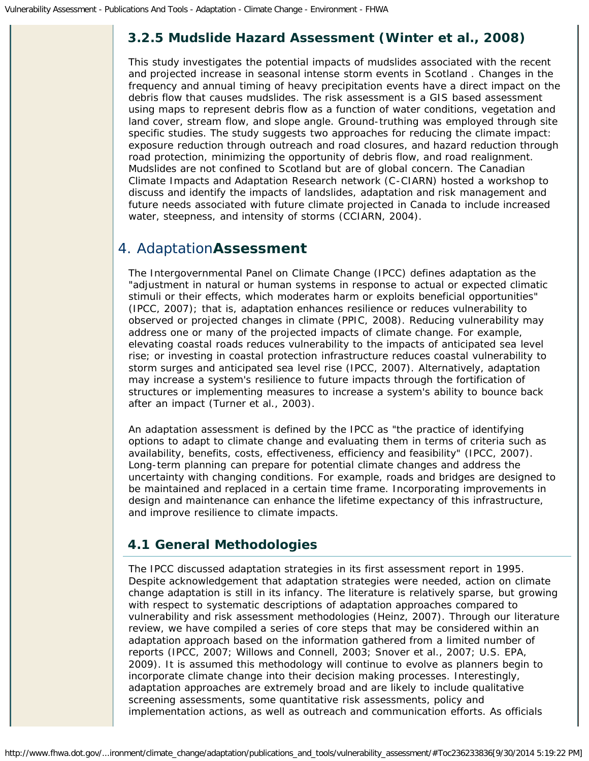## *3.2.5 Mudslide Hazard Assessment (Winter et al., 2008)*

This study investigates the potential impacts of mudslides associated with the recent and projected increase in seasonal intense storm events in Scotland . Changes in the frequency and annual timing of heavy precipitation events have a direct impact on the debris flow that causes mudslides. The risk assessment is a GIS based assessment using maps to represent debris flow as a function of water conditions, vegetation and land cover, stream flow, and slope angle. Ground-truthing was employed through site specific studies. The study suggests two approaches for reducing the climate impact: exposure reduction through outreach and road closures, and hazard reduction through road protection, minimizing the opportunity of debris flow, and road realignment. Mudslides are not confined to Scotland but are of global concern. The Canadian Climate Impacts and Adaptation Research network (C-CIARN) hosted a workshop to discuss and identify the impacts of landslides, adaptation and risk management and future needs associated with future climate projected in Canada to include increased water, steepness, and intensity of storms (CCIARN, 2004).

# <span id="page-20-0"></span>4. Adaptation**Assessment**

The Intergovernmental Panel on Climate Change (IPCC) defines adaptation as the "adjustment in natural or human systems in response to actual or expected climatic stimuli or their effects, which moderates harm or exploits beneficial opportunities" (IPCC, 2007); that is, adaptation enhances resilience or reduces vulnerability to observed or projected changes in climate (PPIC, 2008). Reducing vulnerability may address one or many of the projected impacts of climate change. For example, elevating coastal roads reduces vulnerability to the impacts of anticipated sea level rise; or investing in coastal protection infrastructure reduces coastal vulnerability to storm surges and anticipated sea level rise (IPCC, 2007). Alternatively, adaptation may increase a system's resilience to future impacts through the fortification of structures or implementing measures to increase a system's ability to bounce back after an impact (Turner et al., 2003).

An adaptation assessment is defined by the IPCC as "the practice of identifying options to adapt to climate change and evaluating them in terms of criteria such as availability, benefits, costs, effectiveness, efficiency and feasibility" (IPCC, 2007). Long-term planning can prepare for potential climate changes and address the uncertainty with changing conditions. For example, roads and bridges are designed to be maintained and replaced in a certain time frame. Incorporating improvements in design and maintenance can enhance the lifetime expectancy of this infrastructure, and improve resilience to climate impacts.

### <span id="page-20-1"></span>**4.1 General Methodologies**

The IPCC discussed adaptation strategies in its first assessment report in 1995. Despite acknowledgement that adaptation strategies were needed, action on climate change adaptation is still in its infancy. The literature is relatively sparse, but growing with respect to systematic descriptions of adaptation approaches compared to vulnerability and risk assessment methodologies (Heinz, 2007). Through our literature review, we have compiled a series of core steps that may be considered within an adaptation approach based on the information gathered from a limited number of reports (IPCC, 2007; Willows and Connell, 2003; Snover et al., 2007; U.S. EPA, 2009). It is assumed this methodology will continue to evolve as planners begin to incorporate climate change into their decision making processes. Interestingly, adaptation approaches are extremely broad and are likely to include qualitative screening assessments, some quantitative risk assessments, policy and implementation actions, as well as outreach and communication efforts. As officials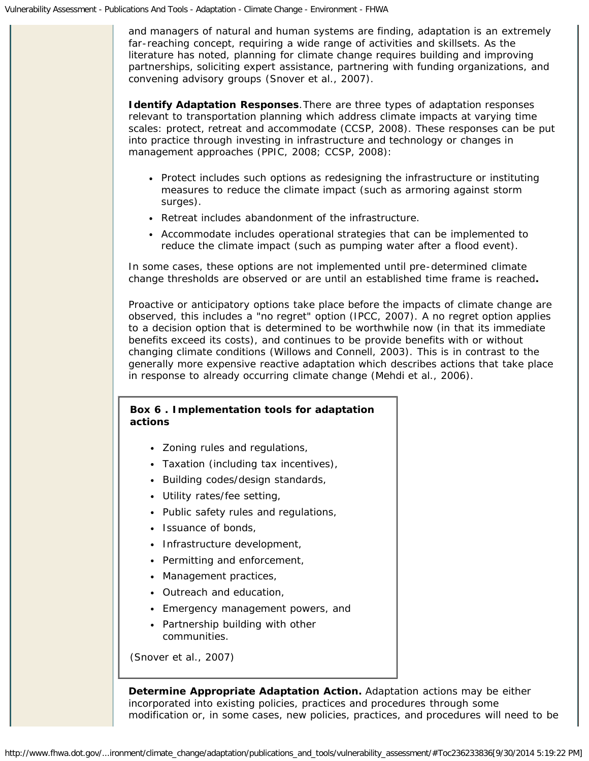and managers of natural and human systems are finding, adaptation is an extremely far-reaching concept, requiring a wide range of activities and skillsets. As the literature has noted, planning for climate change requires building and improving partnerships, soliciting expert assistance, partnering with funding organizations, and convening advisory groups (Snover et al., 2007).

**Identify Adaptation Responses***.*There are three types of adaptation responses relevant to transportation planning which address climate impacts at varying time scales: protect, retreat and accommodate (CCSP, 2008). These responses can be put into practice through investing in infrastructure and technology or changes in management approaches (PPIC, 2008; CCSP, 2008):

- Protect includes such options as redesigning the infrastructure or instituting measures to reduce the climate impact (such as armoring against storm surges).
- Retreat includes abandonment of the infrastructure.
- Accommodate includes operational strategies that can be implemented to reduce the climate impact (such as pumping water after a flood event).

In some cases, these options are not implemented until pre-determined climate change thresholds are observed or are until an established time frame is reached**.**

Proactive or anticipatory options take place before the impacts of climate change are observed, this includes a "no regret" option (IPCC, 2007). A no regret option applies to a decision option that is determined to be worthwhile now (in that its immediate benefits exceed its costs), and continues to be provide benefits with or without changing climate conditions (Willows and Connell, 2003). This is in contrast to the generally more expensive reactive adaptation which describes actions that take place in response to already occurring climate change (Mehdi et al., 2006).

### **Box 6 . Implementation tools for adaptation actions**

- Zoning rules and regulations,
- Taxation (including tax incentives),
- Building codes/design standards,
- Utility rates/fee setting,
- Public safety rules and regulations,
- Issuance of bonds,
- Infrastructure development,
- Permitting and enforcement,
- Management practices,
- Outreach and education,
- Emergency management powers, and
- Partnership building with other communities.

*(Snover et al., 2007)*

**Determine Appropriate Adaptation Action.** Adaptation actions may be either incorporated into existing policies, practices and procedures through some modification or, in some cases, new policies, practices, and procedures will need to be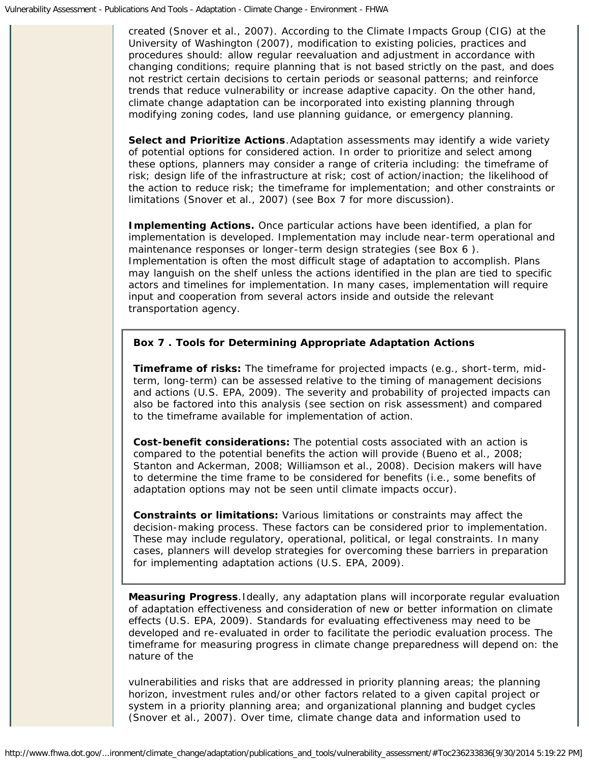created (Snover et al., 2007). According to the Climate Impacts Group (CIG) at the University of Washington (2007), modification to existing policies, practices and procedures should: allow regular reevaluation and adjustment in accordance with changing conditions; require planning that is not based strictly on the past, and does not restrict certain decisions to certain periods or seasonal patterns; and reinforce trends that reduce vulnerability or increase adaptive capacity. On the other hand, climate change adaptation can be incorporated into existing planning through modifying zoning codes, land use planning guidance, or emergency planning.

**Select and Prioritize Actions***.*Adaptation assessments may identify a wide variety of potential options for considered action. In order to prioritize and select among these options, planners may consider a range of criteria including: the timeframe of risk; design life of the infrastructure at risk; cost of action/inaction; the likelihood of the action to reduce risk; the timeframe for implementation; and other constraints or limitations (Snover et al., 2007) (see Box 7 for more discussion).

**Implementing Actions.** Once particular actions have been identified, a plan for implementation is developed. Implementation may include near-term operational and maintenance responses or longer-term design strategies (see Box 6 ). Implementation is often the most difficult stage of adaptation to accomplish. Plans may languish on the shelf unless the actions identified in the plan are tied to specific actors and timelines for implementation. In many cases, implementation will require input and cooperation from several actors inside and outside the relevant transportation agency.

### **Box 7 . Tools for Determining Appropriate Adaptation Actions**

**Timeframe of risks:** The timeframe for projected impacts (e.g., short-term, midterm, long-term) can be assessed relative to the timing of management decisions and actions (U.S. EPA, 2009). The severity and probability of projected impacts can also be factored into this analysis (see section on risk assessment) and compared to the timeframe available for implementation of action.

**Cost-benefit considerations:** The potential costs associated with an action is compared to the potential benefits the action will provide (Bueno et al., 2008; Stanton and Ackerman, 2008; Williamson et al., 2008). Decision makers will have to determine the time frame to be considered for benefits (i.e., some benefits of adaptation options may not be seen until climate impacts occur).

**Constraints or limitations:** Various limitations or constraints may affect the decision-making process. These factors can be considered prior to implementation. These may include regulatory, operational, political, or legal constraints. In many cases, planners will develop strategies for overcoming these barriers in preparation for implementing adaptation actions (U.S. EPA, 2009).

**Measuring Progress***.*Ideally, any adaptation plans will incorporate regular evaluation of adaptation effectiveness and consideration of new or better information on climate effects (U.S. EPA, 2009). Standards for evaluating effectiveness may need to be developed and re-evaluated in order to facilitate the periodic evaluation process. The timeframe for measuring progress in climate change preparedness will depend on: the nature of the

vulnerabilities and risks that are addressed in priority planning areas; the planning horizon, investment rules and/or other factors related to a given capital project or system in a priority planning area; and organizational planning and budget cycles (Snover et al., 2007). Over time, climate change data and information used to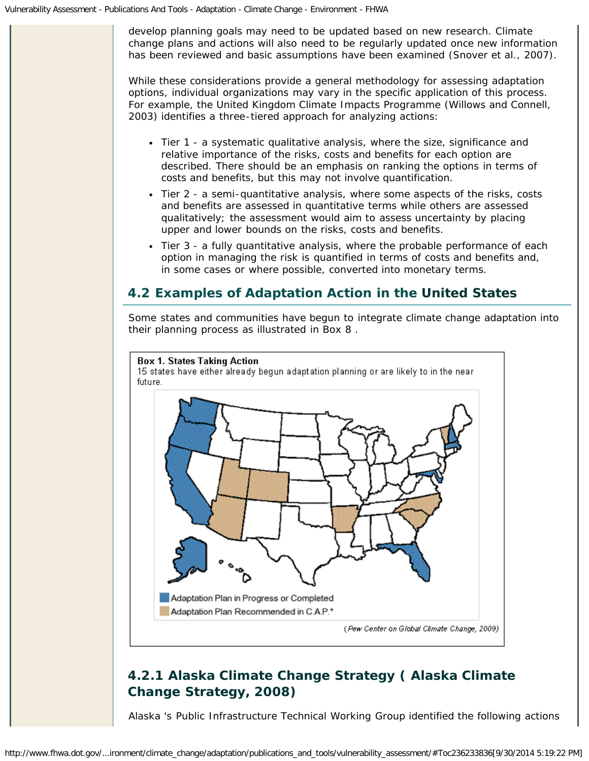develop planning goals may need to be updated based on new research. Climate change plans and actions will also need to be regularly updated once new information has been reviewed and basic assumptions have been examined (Snover et al., 2007).

While these considerations provide a general methodology for assessing adaptation options, individual organizations may vary in the specific application of this process. For example, the United Kingdom Climate Impacts Programme (Willows and Connell, 2003) identifies a three-tiered approach for analyzing actions:

- Tier 1 a systematic qualitative analysis, where the size, significance and relative importance of the risks, costs and benefits for each option are described. There should be an emphasis on ranking the options in terms of costs and benefits, but this may not involve quantification.
- Tier 2 a semi-quantitative analysis, where some aspects of the risks, costs and benefits are assessed in quantitative terms while others are assessed qualitatively; the assessment would aim to assess uncertainty by placing upper and lower bounds on the risks, costs and benefits.
- Tier 3 a fully quantitative analysis, where the probable performance of each option in managing the risk is quantified in terms of costs and benefits and, in some cases or where possible, converted into monetary terms.

# <span id="page-23-0"></span>**4.2 Examples of Adaptation Action in the United States**

Some states and communities have begun to integrate climate change adaptation into their planning process as illustrated in Box 8 .



# *4.2.1 Alaska Climate Change Strategy ( Alaska Climate Change Strategy, 2008)*

Alaska 's Public Infrastructure Technical Working Group identified the following actions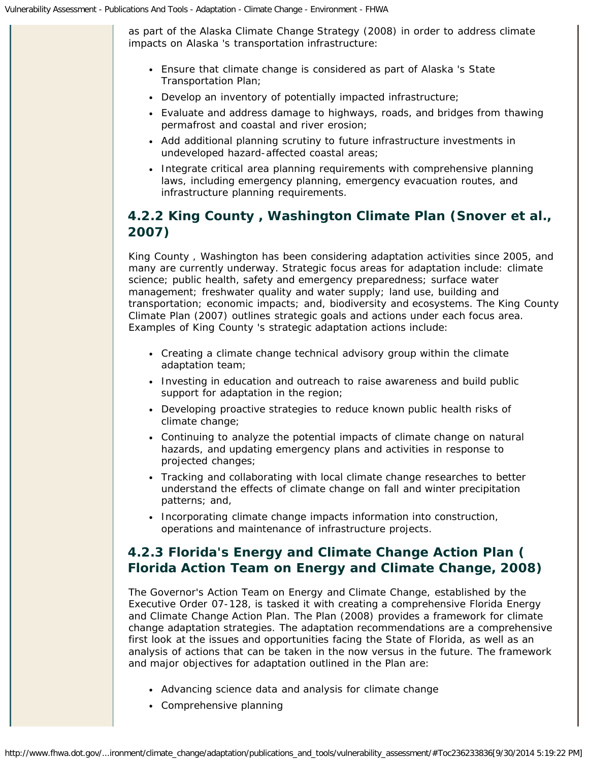as part of the Alaska Climate Change Strategy (2008) in order to address climate impacts on Alaska 's transportation infrastructure:

- Ensure that climate change is considered as part of Alaska 's State Transportation Plan;
- Develop an inventory of potentially impacted infrastructure;
- Evaluate and address damage to highways, roads, and bridges from thawing permafrost and coastal and river erosion;
- Add additional planning scrutiny to future infrastructure investments in undeveloped hazard-affected coastal areas;
- Integrate critical area planning requirements with comprehensive planning laws, including emergency planning, emergency evacuation routes, and infrastructure planning requirements.

# *4.2.2 King County , Washington Climate Plan (Snover et al., 2007)*

King County , Washington has been considering adaptation activities since 2005, and many are currently underway. Strategic focus areas for adaptation include: climate science; public health, safety and emergency preparedness; surface water management; freshwater quality and water supply; land use, building and transportation; economic impacts; and, biodiversity and ecosystems. The King County Climate Plan (2007) outlines strategic goals and actions under each focus area. Examples of King County 's strategic adaptation actions include:

- Creating a climate change technical advisory group within the climate adaptation team;
- Investing in education and outreach to raise awareness and build public support for adaptation in the region;
- Developing proactive strategies to reduce known public health risks of climate change;
- Continuing to analyze the potential impacts of climate change on natural hazards, and updating emergency plans and activities in response to projected changes;
- Tracking and collaborating with local climate change researches to better understand the effects of climate change on fall and winter precipitation patterns; and,
- Incorporating climate change impacts information into construction, operations and maintenance of infrastructure projects.

# *4.2.3 Florida's Energy and Climate Change Action Plan ( Florida Action Team on Energy and Climate Change, 2008)*

The Governor's Action Team on Energy and Climate Change, established by the Executive Order 07-128, is tasked it with creating a comprehensive Florida Energy and Climate Change Action Plan. The Plan (2008) provides a framework for climate change adaptation strategies. The adaptation recommendations are a comprehensive first look at the issues and opportunities facing the State of Florida, as well as an analysis of actions that can be taken in the now versus in the future. The framework and major objectives for adaptation outlined in the Plan are:

- Advancing science data and analysis for climate change
- Comprehensive planning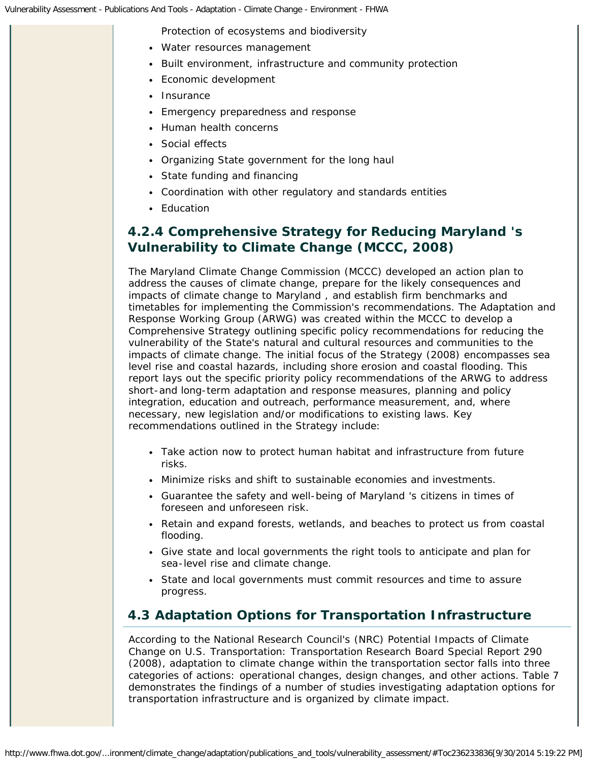Protection of ecosystems and biodiversity

- Water resources management
- Built environment, infrastructure and community protection
- Economic development
- Insurance
- Emergency preparedness and response
- Human health concerns
- Social effects
- Organizing State government for the long haul
- State funding and financing
- Coordination with other regulatory and standards entities
- Education

## *4.2.4 Comprehensive Strategy for Reducing Maryland 's Vulnerability to Climate Change (MCCC, 2008)*

The Maryland Climate Change Commission (MCCC) developed an action plan to address the causes of climate change, prepare for the likely consequences and impacts of climate change to Maryland , and establish firm benchmarks and timetables for implementing the Commission's recommendations. The Adaptation and Response Working Group (ARWG) was created within the MCCC to develop a Comprehensive Strategy outlining specific policy recommendations for reducing the vulnerability of the State's natural and cultural resources and communities to the impacts of climate change. The initial focus of the Strategy (2008) encompasses sea level rise and coastal hazards, including shore erosion and coastal flooding. This report lays out the specific priority policy recommendations of the ARWG to address short-and long-term adaptation and response measures, planning and policy integration, education and outreach, performance measurement, and, where necessary, new legislation and/or modifications to existing laws. Key recommendations outlined in the Strategy include:

- Take action now to protect human habitat and infrastructure from future risks.
- Minimize risks and shift to sustainable economies and investments.
- Guarantee the safety and well-being of Maryland 's citizens in times of foreseen and unforeseen risk.
- Retain and expand forests, wetlands, and beaches to protect us from coastal flooding.
- Give state and local governments the right tools to anticipate and plan for sea-level rise and climate change.
- State and local governments must commit resources and time to assure progress.

# <span id="page-25-0"></span>**4.3 Adaptation Options for Transportation Infrastructure**

According to the National Research Council's (NRC) *Potential Impacts of Climate Change on U.S. Transportation: Transportation Research Board Special Report 290* (2008), adaptation to climate change within the transportation sector falls into three categories of actions: operational changes, design changes, and other actions. Table 7 demonstrates the findings of a number of studies investigating adaptation options for transportation infrastructure and is organized by climate impact.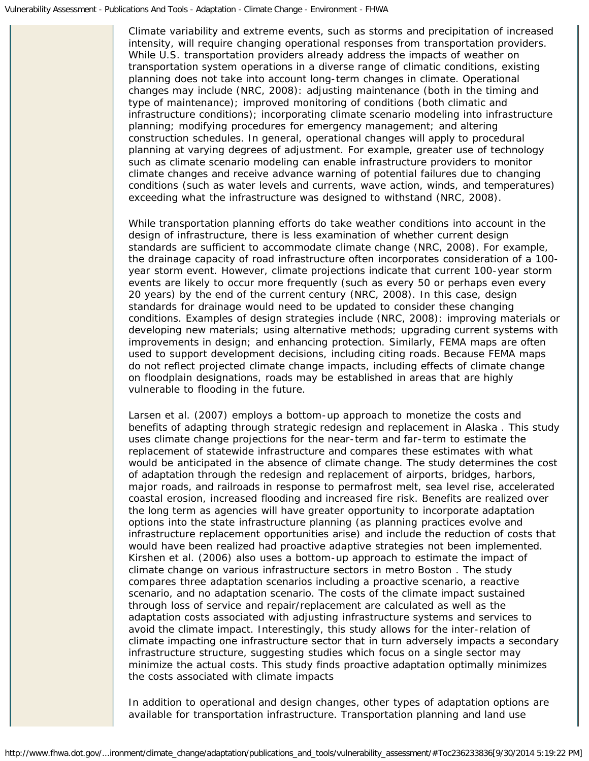Climate variability and extreme events, such as storms and precipitation of increased intensity, will require changing operational responses from transportation providers. While U.S. transportation providers already address the impacts of weather on transportation system operations in a diverse range of climatic conditions, existing planning does not take into account long-term changes in climate. Operational changes may include (NRC, 2008): adjusting maintenance (both in the timing and type of maintenance); improved monitoring of conditions (both climatic and infrastructure conditions); incorporating climate scenario modeling into infrastructure planning; modifying procedures for emergency management; and altering construction schedules. In general, operational changes will apply to procedural planning at varying degrees of adjustment. For example, greater use of technology such as climate scenario modeling can enable infrastructure providers to monitor climate changes and receive advance warning of potential failures due to changing conditions (such as water levels and currents, wave action, winds, and temperatures) exceeding what the infrastructure was designed to withstand (NRC, 2008).

While transportation planning efforts do take weather conditions into account in the design of infrastructure, there is less examination of whether current design standards are sufficient to accommodate climate change (NRC, 2008). For example, the drainage capacity of road infrastructure often incorporates consideration of a 100 year storm event. However, climate projections indicate that current 100-year storm events are likely to occur more frequently (such as every 50 or perhaps even every 20 years) by the end of the current century (NRC, 2008). In this case, design standards for drainage would need to be updated to consider these changing conditions. Examples of design strategies include (NRC, 2008): improving materials or developing new materials; using alternative methods; upgrading current systems with improvements in design; and enhancing protection. Similarly, FEMA maps are often used to support development decisions, including citing roads. Because FEMA maps do not reflect projected climate change impacts, including effects of climate change on floodplain designations, roads may be established in areas that are highly vulnerable to flooding in the future.

Larsen et al. (2007) employs a bottom-up approach to monetize the costs and benefits of adapting through strategic redesign and replacement in Alaska . This study uses climate change projections for the near-term and far-term to estimate the replacement of statewide infrastructure and compares these estimates with what would be anticipated in the absence of climate change. The study determines the cost of adaptation through the redesign and replacement of airports, bridges, harbors, major roads, and railroads in response to permafrost melt, sea level rise, accelerated coastal erosion, increased flooding and increased fire risk. Benefits are realized over the long term as agencies will have greater opportunity to incorporate adaptation options into the state infrastructure planning (as planning practices evolve and infrastructure replacement opportunities arise) and include the reduction of costs that would have been realized had proactive adaptive strategies not been implemented. Kirshen et al. (2006) also uses a bottom-up approach to estimate the impact of climate change on various infrastructure sectors in metro Boston . The study compares three adaptation scenarios including a proactive scenario, a reactive scenario, and no adaptation scenario. The costs of the climate impact sustained through loss of service and repair/replacement are calculated as well as the adaptation costs associated with adjusting infrastructure systems and services to avoid the climate impact. Interestingly, this study allows for the inter-relation of climate impacting one infrastructure sector that in turn adversely impacts a secondary infrastructure structure, suggesting studies which focus on a single sector may minimize the actual costs. This study finds proactive adaptation optimally minimizes the costs associated with climate impacts

In addition to operational and design changes, other types of adaptation options are available for transportation infrastructure. Transportation planning and land use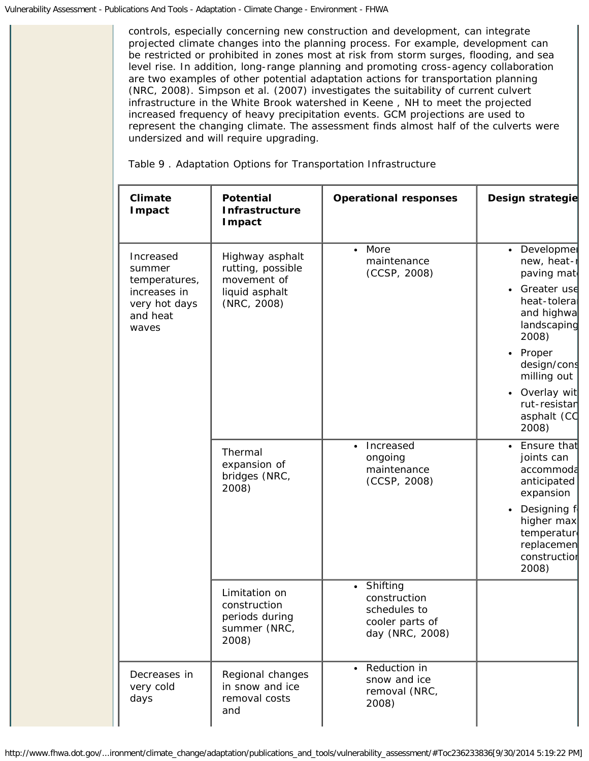controls, especially concerning new construction and development, can integrate projected climate changes into the planning process. For example, development can be restricted or prohibited in zones most at risk from storm surges, flooding, and sea level rise. In addition, long-range planning and promoting cross-agency collaboration are two examples of other potential adaptation actions for transportation planning (NRC, 2008). Simpson et al. (2007) investigates the suitability of current culvert infrastructure in the White Brook watershed in Keene , NH to meet the projected increased frequency of heavy precipitation events. GCM projections are used to represent the changing climate. The assessment finds almost half of the culverts were undersized and will require upgrading.

Table 9 . Adaptation Options for Transportation Infrastructure

| Climate<br>Impact                                                                          | <b>Potential</b><br>Infrastructure<br><b>I</b> mpact                                 | <b>Operational responses</b>                                                                | Design strategie                                                                                                                                                                                                                                    |
|--------------------------------------------------------------------------------------------|--------------------------------------------------------------------------------------|---------------------------------------------------------------------------------------------|-----------------------------------------------------------------------------------------------------------------------------------------------------------------------------------------------------------------------------------------------------|
| Increased<br>summer<br>temperatures,<br>increases in<br>very hot days<br>and heat<br>waves | Highway asphalt<br>rutting, possible<br>movement of<br>liquid asphalt<br>(NRC, 2008) | More<br>$\bullet$<br>maintenance<br>(CCSP, 2008)                                            | • Developmer<br>new, heat-r<br>paving mat<br>Greater use<br>$\bullet$<br>heat-tolera<br>and highwa<br>landscaping<br>2008)<br>Proper<br>$\bullet$<br>design/cons<br>milling out<br>Overlay wit<br>$\bullet$<br>rut-resistar<br>asphalt (CC<br>2008) |
|                                                                                            | Thermal<br>expansion of<br>bridges (NRC,<br>2008)                                    | Increased<br>$\bullet$<br>ongoing<br>maintenance<br>(CCSP, 2008)                            | Ensure that<br>$\bullet$<br>joints can<br>accommoda<br>anticipated<br>expansion<br>Designing f<br>$\bullet$<br>higher max<br>temperature<br>replacemen<br>construction<br>2008)                                                                     |
|                                                                                            | Limitation on<br>construction<br>periods during<br>summer (NRC,<br>2008)             | Shifting<br>$\bullet$<br>construction<br>schedules to<br>cooler parts of<br>day (NRC, 2008) |                                                                                                                                                                                                                                                     |
| Decreases in<br>very cold<br>days                                                          | Regional changes<br>in snow and ice<br>removal costs<br>and                          | • Reduction in<br>snow and ice<br>removal (NRC,<br>2008)                                    |                                                                                                                                                                                                                                                     |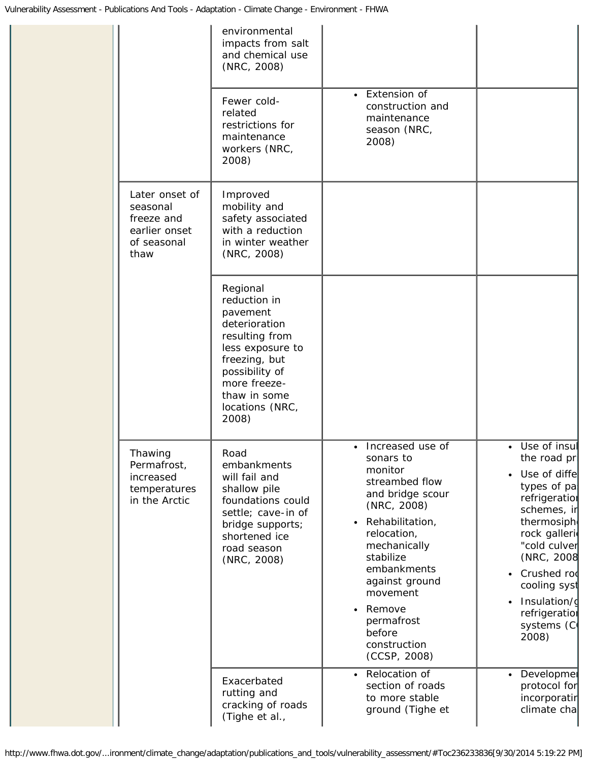|                                                                                  | environmental<br>impacts from salt<br>and chemical use<br>(NRC, 2008)                                                                                                                      |                                                                                                                                                                                                                                                                                                         |                                                                                                                                                                                                                                                                                         |
|----------------------------------------------------------------------------------|--------------------------------------------------------------------------------------------------------------------------------------------------------------------------------------------|---------------------------------------------------------------------------------------------------------------------------------------------------------------------------------------------------------------------------------------------------------------------------------------------------------|-----------------------------------------------------------------------------------------------------------------------------------------------------------------------------------------------------------------------------------------------------------------------------------------|
|                                                                                  | Fewer cold-<br>related<br>restrictions for<br>maintenance<br>workers (NRC,<br>2008)                                                                                                        | • Extension of<br>construction and<br>maintenance<br>season (NRC,<br>2008)                                                                                                                                                                                                                              |                                                                                                                                                                                                                                                                                         |
| Later onset of<br>seasonal<br>freeze and<br>earlier onset<br>of seasonal<br>thaw | Improved<br>mobility and<br>safety associated<br>with a reduction<br>in winter weather<br>(NRC, 2008)                                                                                      |                                                                                                                                                                                                                                                                                                         |                                                                                                                                                                                                                                                                                         |
|                                                                                  | Regional<br>reduction in<br>pavement<br>deterioration<br>resulting from<br>less exposure to<br>freezing, but<br>possibility of<br>more freeze-<br>thaw in some<br>locations (NRC,<br>2008) |                                                                                                                                                                                                                                                                                                         |                                                                                                                                                                                                                                                                                         |
| Thawing<br>Permafrost,<br>increased<br>temperatures<br>in the Arctic             | Road<br>embankments<br>will fail and<br>shallow pile<br>foundations could<br>settle; cave-in of<br>bridge supports;<br>shortened ice<br>road season<br>(NRC, 2008)                         | • Increased use of<br>sonars to<br>monitor<br>streambed flow<br>and bridge scour<br>(NRC, 2008)<br>Rehabilitation,<br>$\bullet$<br>relocation,<br>mechanically<br>stabilize<br>embankments<br>against ground<br>movement<br>Remove<br>$\bullet$<br>permafrost<br>before<br>construction<br>(CCSP, 2008) | • Use of insul<br>the road pri<br>Use of diffe<br>$\bullet$<br>types of pa<br>refrigeration<br>schemes, ir<br>thermosiph<br>rock galleri<br>"cold culver<br>(NRC, 2008<br>Crushed rod<br>$\bullet$<br>cooling syst<br>Insulation/d<br>$\bullet$<br>refrigeration<br>systems (C<br>2008) |
|                                                                                  | Exacerbated<br>rutting and<br>cracking of roads<br>(Tighe et al.,                                                                                                                          | Relocation of<br>$\bullet$<br>section of roads<br>to more stable<br>ground (Tighe et                                                                                                                                                                                                                    | Developmer<br>$\bullet$<br>protocol for<br>incorporatin<br>climate cha                                                                                                                                                                                                                  |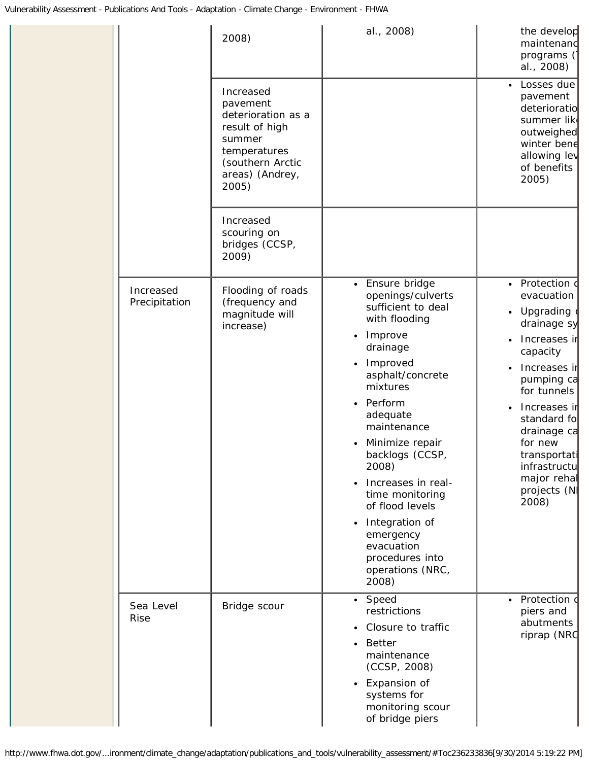|                            | 2008)                                                                                                                                   | al., 2008)                                                                                                                                                                                                                                                                                                                                                                                 | the develop<br>maintenand<br>programs (<br>al., 2008)                                                                                                                                                                                                                                       |
|----------------------------|-----------------------------------------------------------------------------------------------------------------------------------------|--------------------------------------------------------------------------------------------------------------------------------------------------------------------------------------------------------------------------------------------------------------------------------------------------------------------------------------------------------------------------------------------|---------------------------------------------------------------------------------------------------------------------------------------------------------------------------------------------------------------------------------------------------------------------------------------------|
|                            | Increased<br>pavement<br>deterioration as a<br>result of high<br>summer<br>temperatures<br>(southern Arctic<br>areas) (Andrey,<br>2005) |                                                                                                                                                                                                                                                                                                                                                                                            | Losses due<br>$\bullet$<br>pavement<br>deterioratio<br>summer like<br>outweighed<br>winter bene<br>allowing lev<br>of benefits<br>2005)                                                                                                                                                     |
|                            | Increased<br>scouring on<br>bridges (CCSP,<br>2009)                                                                                     |                                                                                                                                                                                                                                                                                                                                                                                            |                                                                                                                                                                                                                                                                                             |
| Increased<br>Precipitation | Flooding of roads<br>(frequency and<br>magnitude will<br>increase)                                                                      | Ensure bridge<br>openings/culverts<br>sufficient to deal<br>with flooding<br>Improve<br>drainage<br>Improved<br>asphalt/concrete<br>mixtures<br>Perform<br>adequate<br>maintenance<br>Minimize repair<br>backlogs (CCSP,<br>2008)<br>Increases in real-<br>time monitoring<br>of flood levels<br>Integration of<br>emergency<br>evacuation<br>procedures into<br>operations (NRC,<br>2008) | Protection o<br>$\bullet$<br>evacuation<br>• Upgrading<br>drainage sy<br>Increases ir<br>$\bullet$<br>capacity<br>Increases ir<br>pumping ca<br>for tunnels<br>Increases ir<br>standard fo<br>drainage ca<br>for new<br>transportati<br>infrastructu<br>major rehal<br>projects (N<br>2008) |
| Sea Level<br><b>Rise</b>   | Bridge scour                                                                                                                            | • Speed<br>restrictions<br>Closure to traffic<br><b>Better</b><br>maintenance<br>(CCSP, 2008)<br>Expansion of<br>systems for<br>monitoring scour<br>of bridge piers                                                                                                                                                                                                                        | Protection d<br>$\bullet$<br>piers and<br>abutments<br>riprap (NRC                                                                                                                                                                                                                          |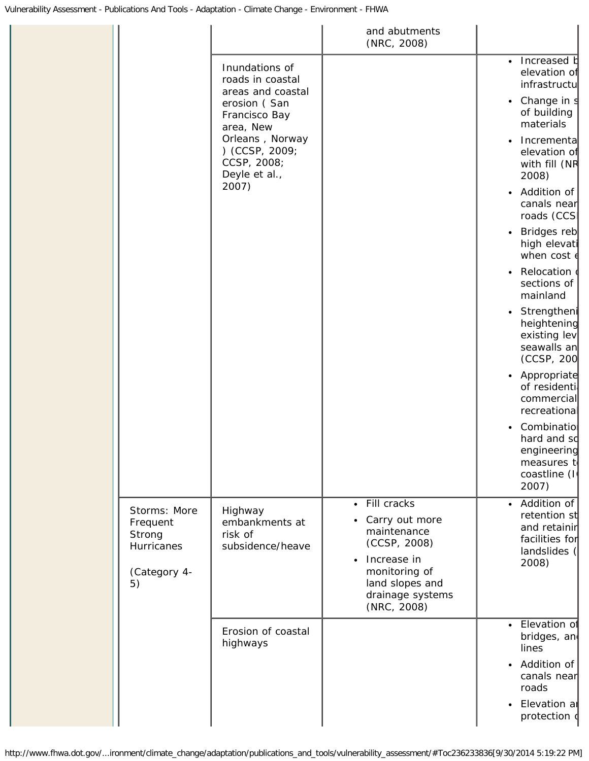|                                                                        |                                                                   | and abutments<br>(NRC, 2008)                                                                                                                                      |                                                                                                     |
|------------------------------------------------------------------------|-------------------------------------------------------------------|-------------------------------------------------------------------------------------------------------------------------------------------------------------------|-----------------------------------------------------------------------------------------------------|
|                                                                        | Inundations of<br>roads in coastal<br>areas and coastal           |                                                                                                                                                                   | Increased b<br>$\bullet$<br>elevation of<br>infrastructu                                            |
|                                                                        | erosion (San<br>Francisco Bay<br>area, New                        |                                                                                                                                                                   | Change in s<br>٠<br>of building<br>materials                                                        |
|                                                                        | Orleans, Norway<br>) (CCSP, 2009;<br>CCSP, 2008;<br>Deyle et al., |                                                                                                                                                                   | Incrementa<br>$\bullet$<br>elevation of<br>with fill (NR<br>2008)                                   |
|                                                                        | 2007)                                                             |                                                                                                                                                                   | Addition of<br>$\bullet$<br>canals near<br>roads (CCSI                                              |
|                                                                        |                                                                   |                                                                                                                                                                   | Bridges reb<br>$\bullet$<br>high elevati<br>when $cost$ $\epsilon$                                  |
|                                                                        |                                                                   |                                                                                                                                                                   | Relocation o<br>$\bullet$<br>sections of<br>mainland                                                |
|                                                                        |                                                                   |                                                                                                                                                                   | Strengtheni<br>$\bullet$<br>heightening<br>existing lev<br>seawalls an<br>(CCSP, 200                |
|                                                                        |                                                                   |                                                                                                                                                                   | Appropriate<br>$\bullet$<br>of residenti<br>commercial<br>recreational                              |
|                                                                        |                                                                   |                                                                                                                                                                   | Combinatio<br>$\bullet$<br>hard and so<br>engineering<br>measures to<br>coastline (I<br>2007)       |
| Storms: More<br>Frequent<br>Strong<br>Hurricanes<br>(Category 4-<br>5) | Highway<br>embankments at<br>risk of<br>subsidence/heave          | • Fill cracks<br>Carry out more<br>maintenance<br>(CCSP, 2008)<br>Increase in<br>$\bullet$<br>monitoring of<br>land slopes and<br>drainage systems<br>(NRC, 2008) | Addition of<br>$\bullet$<br>retention st<br>and retainin<br>facilities for<br>landslides (<br>2008) |
|                                                                        | Erosion of coastal<br>highways                                    |                                                                                                                                                                   | • Elevation of<br>bridges, an<br>lines                                                              |
|                                                                        |                                                                   |                                                                                                                                                                   | • Addition of<br>canals near<br>roads                                                               |
|                                                                        |                                                                   |                                                                                                                                                                   | Elevation ar<br>$\bullet$<br>protection o                                                           |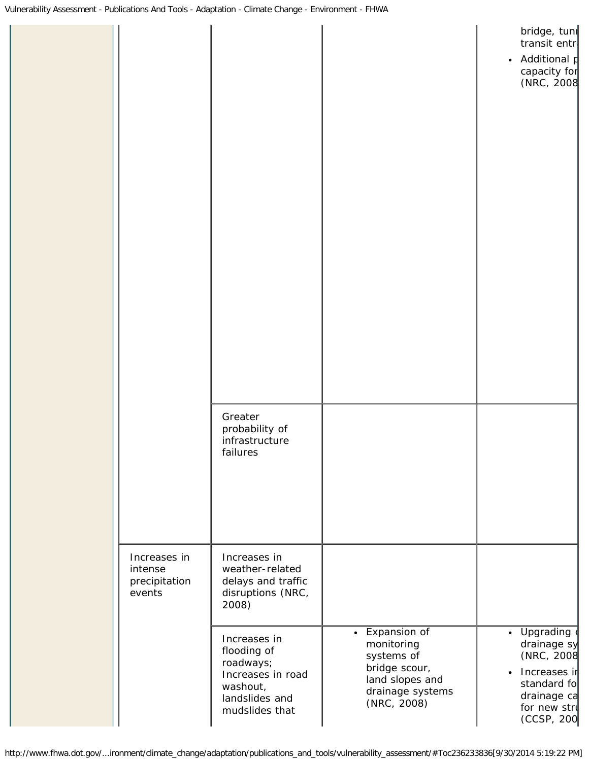|                                                    |                                                                                                                                                                                                      |                                                                                                                   | bridge, tuni<br>transit entr<br>Additional p<br>$\bullet$<br>capacity for<br>(NRC, 2008                                            |
|----------------------------------------------------|------------------------------------------------------------------------------------------------------------------------------------------------------------------------------------------------------|-------------------------------------------------------------------------------------------------------------------|------------------------------------------------------------------------------------------------------------------------------------|
|                                                    | Greater<br>probability of<br>infrastructure<br>failures                                                                                                                                              |                                                                                                                   |                                                                                                                                    |
| Increases in<br>intense<br>precipitation<br>events | Increases in<br>weather-related<br>delays and traffic<br>disruptions (NRC,<br>2008)<br>Increases in<br>flooding of<br>roadways;<br>Increases in road<br>washout,<br>landslides and<br>mudslides that | • Expansion of<br>monitoring<br>systems of<br>bridge scour,<br>land slopes and<br>drainage systems<br>(NRC, 2008) | • Upgrading<br>drainage sy<br>(NRC, 2008<br>Increases in<br>$\bullet$<br>standard fo<br>drainage ca<br>for new stru<br>(CCSP, 200) |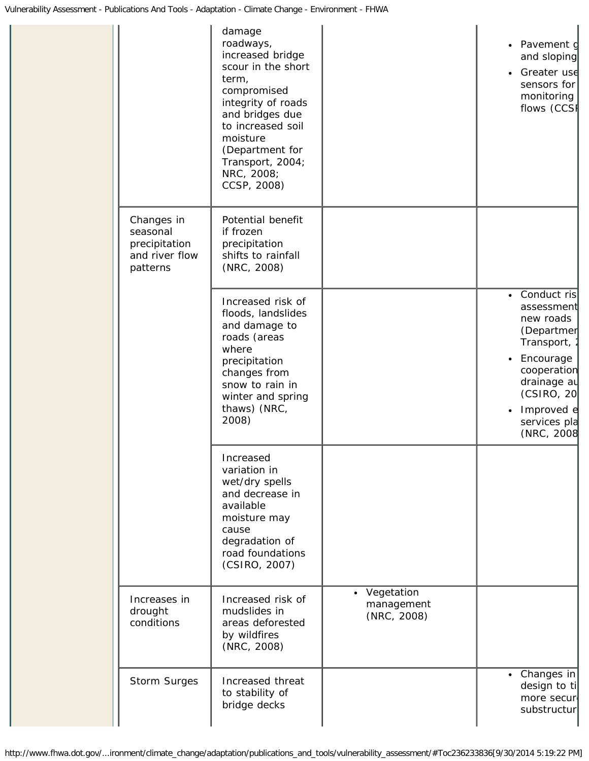|                                                                       | damage<br>roadways,<br>increased bridge<br>scour in the short<br>term,<br>compromised<br>integrity of roads<br>and bridges due<br>to increased soil<br>moisture<br>(Department for<br>Transport, 2004;<br>NRC, 2008;<br>CCSP, 2008) |                                           | Pavement d<br>$\bullet$<br>and sloping<br>Greater use<br>$\bullet$<br>sensors for<br>monitoring<br>flows (CCSF                                                                                     |
|-----------------------------------------------------------------------|-------------------------------------------------------------------------------------------------------------------------------------------------------------------------------------------------------------------------------------|-------------------------------------------|----------------------------------------------------------------------------------------------------------------------------------------------------------------------------------------------------|
| Changes in<br>seasonal<br>precipitation<br>and river flow<br>patterns | Potential benefit<br>if frozen<br>precipitation<br>shifts to rainfall<br>(NRC, 2008)                                                                                                                                                |                                           |                                                                                                                                                                                                    |
|                                                                       | Increased risk of<br>floods, landslides<br>and damage to<br>roads (areas<br>where<br>precipitation<br>changes from<br>snow to rain in<br>winter and spring<br>thaws) (NRC,<br>2008)                                                 |                                           | Conduct ris<br>$\bullet$<br>assessment<br>new roads<br>(Departmer<br>Transport,<br>Encourage<br>$\bullet$<br>cooperation<br>drainage au<br>(CSIRO, 20)<br>Improved e<br>services pla<br>(NRC, 2008 |
|                                                                       | Increased<br>variation in<br>wet/dry spells<br>and decrease in<br>available<br>moisture may<br>cause<br>degradation of<br>road foundations<br>(CSIRO, 2007)                                                                         |                                           |                                                                                                                                                                                                    |
| Increases in<br>drought<br>conditions                                 | Increased risk of<br>mudslides in<br>areas deforested<br>by wildfires<br>(NRC, 2008)                                                                                                                                                | • Vegetation<br>management<br>(NRC, 2008) |                                                                                                                                                                                                    |
| Storm Surges                                                          | Increased threat<br>to stability of<br>bridge decks                                                                                                                                                                                 |                                           | • Changes in<br>design to ti<br>more secur<br>substructur                                                                                                                                          |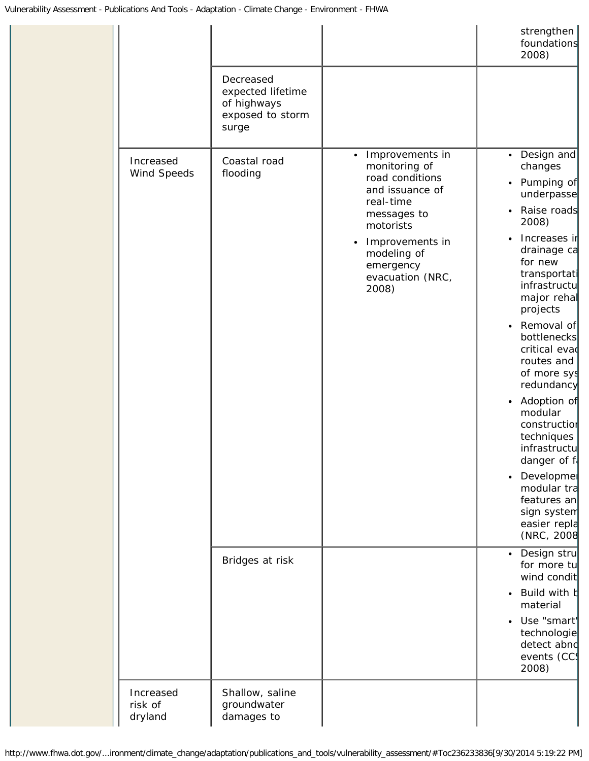|                    |                          |                                                                            |                                                                                                                                                                                                                       | strengthen<br>foundations<br>2008)                                                                                                                                                                                                                                                                                                                                                                                                                                                                                         |
|--------------------|--------------------------|----------------------------------------------------------------------------|-----------------------------------------------------------------------------------------------------------------------------------------------------------------------------------------------------------------------|----------------------------------------------------------------------------------------------------------------------------------------------------------------------------------------------------------------------------------------------------------------------------------------------------------------------------------------------------------------------------------------------------------------------------------------------------------------------------------------------------------------------------|
|                    |                          | Decreased<br>expected lifetime<br>of highways<br>exposed to storm<br>surge |                                                                                                                                                                                                                       |                                                                                                                                                                                                                                                                                                                                                                                                                                                                                                                            |
|                    | Increased<br>Wind Speeds | Coastal road<br>flooding                                                   | Improvements in<br>$\bullet$<br>monitoring of<br>road conditions<br>and issuance of<br>real-time<br>messages to<br>motorists<br>Improvements in<br>$\bullet$<br>modeling of<br>emergency<br>evacuation (NRC,<br>2008) | Design and<br>$\bullet$<br>changes<br>Pumping of<br>$\bullet$<br>underpasse<br>Raise roads<br>$\bullet$<br>2008)<br>Increases ir<br>drainage ca<br>for new<br>transportati<br>infrastructu<br>major rehal<br>projects<br>Removal of<br>$\bullet$<br>bottlenecks<br>critical evad<br>routes and<br>of more sys<br>redundancy<br>• Adoption of<br>modular<br>construction<br>techniques<br>infrastructu<br>danger of f<br>Developmer<br>$\bullet$<br>modular tra<br>features an<br>sign system<br>easier repla<br>(NRC, 2008 |
|                    |                          | Bridges at risk                                                            |                                                                                                                                                                                                                       | Design stru<br>$\bullet$<br>for more tu<br>wind condit<br>Build with b<br>$\bullet$<br>material<br>Use "smart'<br>$\bullet$<br>technologie<br>detect abnd<br>events (CC<br>2008)                                                                                                                                                                                                                                                                                                                                           |
| risk of<br>dryland | Increased                | Shallow, saline<br>groundwater<br>damages to                               |                                                                                                                                                                                                                       |                                                                                                                                                                                                                                                                                                                                                                                                                                                                                                                            |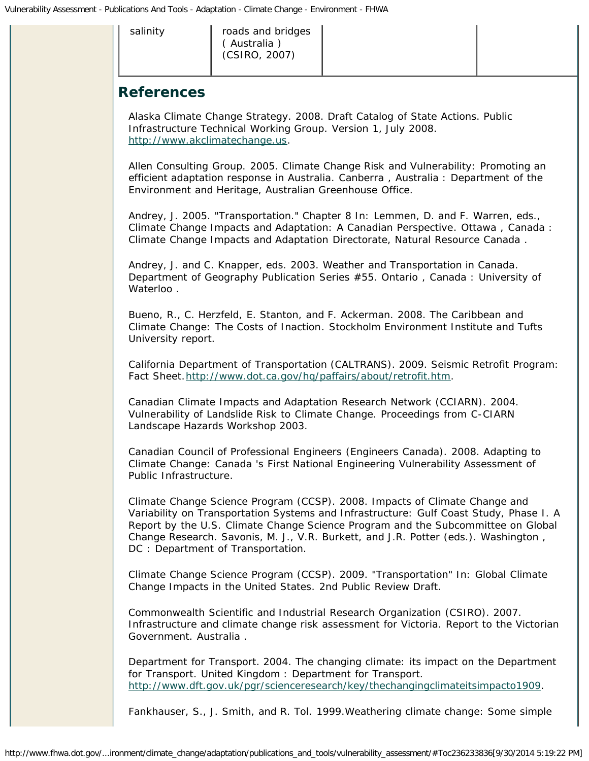<span id="page-34-0"></span>salinity | roads and bridges ( Australia ) (CSIRO, 2007)

### **References**

Alaska Climate Change Strategy. 2008. *Draft Catalog of State Actions. Public Infrastructure Technical Working Group*. Version 1, July 2008. [http://www.akclimatechange.us.](http://wwwcf.fhwa.dot.gov/exit.cfm?link=http://www.akclimatechange.us)

Allen Consulting Group. 2005. *Climate Change Risk and Vulnerability: Promoting an efficient adaptation response in Australia*. Canberra , Australia : Department of the Environment and Heritage, Australian Greenhouse Office.

Andrey, J. 2005. "Transportation." Chapter 8 In: Lemmen, D. and F. Warren, eds., *Climate Change Impacts and Adaptation: A Canadian Perspective*. Ottawa , Canada : Climate Change Impacts and Adaptation Directorate, Natural Resource Canada .

Andrey, J. and C. Knapper, eds. 2003. *Weather and Transportation in Canada*. Department of Geography Publication Series #55. Ontario , Canada : University of Waterloo.

Bueno, R., C. Herzfeld, E. Stanton, and F. Ackerman. 2008. *The Caribbean and Climate Change: The Costs of Inaction*. Stockholm Environment Institute and Tufts University report.

California Department of Transportation (CALTRANS). 2009. *Seismic Retrofit Program:* Fact Sheet.[http://www.dot.ca.gov/hq/paffairs/about/retrofit.htm.](http://www.dot.ca.gov/hq/paffairs/about/retrofit.htm)

Canadian Climate Impacts and Adaptation Research Network (CCIARN). 2004. *Vulnerability of Landslide Risk to Climate Change*. Proceedings from C-CIARN Landscape Hazards Workshop 2003.

Canadian Council of Professional Engineers (Engineers Canada). 2008. *Adapting to Climate Change: Canada 's First National Engineering Vulnerability Assessment of Public Infrastructure*.

Climate Change Science Program (CCSP). 2008. *Impacts of Climate Change and Variability on Transportation Systems and Infrastructure: Gulf Coast Study, Phase I*. A Report by the U.S. Climate Change Science Program and the Subcommittee on Global Change Research. Savonis, M. J., V.R. Burkett, and J.R. Potter (eds.). Washington , DC : Department of Transportation.

Climate Change Science Program (CCSP). 2009. "Transportation" In: *Global Climate Change Impacts in the United States*. 2nd Public Review Draft.

Commonwealth Scientific and Industrial Research Organization (CSIRO). 2007. *Infrastructure and climate change risk assessment for Victoria*. Report to the Victorian Government. Australia .

Department for Transport. 2004. *The changing climate: its impact on the Department for Transport*. United Kingdom : Department for Transport. [http://www.dft.gov.uk/pgr/scienceresearch/key/thechangingclimateitsimpacto1909.](http://wwwcf.fhwa.dot.gov/exit.cfm?link=http://webarchive.nationalarchives.gov.uk/[plus]/http://www.dft.gov.uk/pgr/scienceresearch/key/thechangingclimateitsimpacto1909/)

Fankhauser, S., J. Smith, and R. Tol. 1999.Weathering climate change: Some simple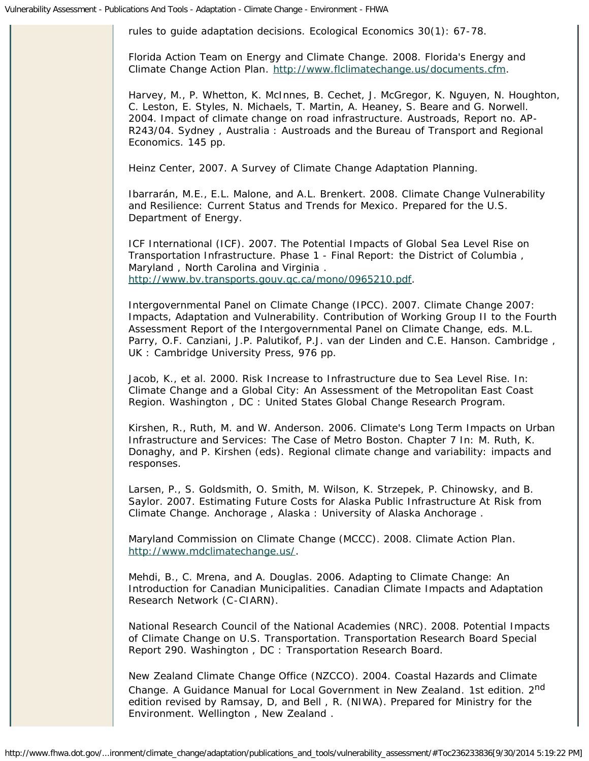rules to guide adaptation decisions. *Ecological Economics* 30(1): 67-78.

Florida Action Team on Energy and Climate Change. 2008. *Florida's Energy and Climate Change Action Plan*. [http://www.flclimatechange.us/documents.cfm](http://wwwcf.fhwa.dot.gov/exit.cfm?link=http://www.flclimatechange.us/documents.cfm).

Harvey, M., P. Whetton, K. McInnes, B. Cechet, J. McGregor, K. Nguyen, N. Houghton, C. Leston, E. Styles, N. Michaels, T. Martin, A. Heaney, S. Beare and G. Norwell. 2004. *Impact of climate change on road infrastructure*. Austroads, Report no. AP-R243/04. Sydney , Australia : Austroads and the Bureau of Transport and Regional Economics. 145 pp.

Heinz Center, 2007. *A Survey of Climate Change Adaptation Planning*.

Ibarrarán, M.E., E.L. Malone, and A.L. Brenkert. 2008. *Climate Change Vulnerability and Resilience: Current Status and Trends for Mexico*. Prepared for the U.S. Department of Energy.

ICF International (ICF). 2007. *The Potential Impacts of Global Sea Level Rise on Transportation Infrastructure*. Phase 1 - Final Report: the District of Columbia , Maryland , North Carolina and Virginia . [http://www.bv.transports.gouv.qc.ca/mono/0965210.pdf](http://wwwcf.fhwa.dot.gov/exit.cfm?link=http://www.bv.transports.gouv.qc.ca/mono/0965210.pdf).

Intergovernmental Panel on Climate Change (IPCC). 2007. *Climate Change 2007: Impacts, Adaptation and Vulnerability*. Contribution of Working Group II to the Fourth Assessment Report of the Intergovernmental Panel on Climate Change, eds. M.L. Parry, O.F. Canziani, J.P. Palutikof, P.J. van der Linden and C.E. Hanson. Cambridge , UK : Cambridge University Press, 976 pp.

Jacob, K., et al. 2000. Risk Increase to Infrastructure due to Sea Level Rise. In: *Climate Change and a Global City: An Assessment of the Metropolitan East Coast Region*. Washington , DC : United States Global Change Research Program.

Kirshen, R., Ruth, M. and W. Anderson. 2006. Climate's Long Term Impacts on Urban Infrastructure and Services: The Case of Metro Boston. Chapter 7 In: M. Ruth, K. Donaghy, and P. Kirshen (eds). *Regional climate change and variability: impacts and responses.*

Larsen, P., S. Goldsmith, O. Smith, M. Wilson, K. Strzepek, P. Chinowsky, and B. Saylor. 2007. *Estimating Future Costs for Alaska Public Infrastructure At Risk from Climate Change*. Anchorage , Alaska : University of Alaska Anchorage .

Maryland Commission on Climate Change (MCCC). 2008. *Climate Action Plan*. [http://www.mdclimatechange.us/.](http://wwwcf.fhwa.dot.gov/exit.cfm?link=http://www.mdclimatechange.us/)

Mehdi, B., C. Mrena, and A. Douglas. 2006. *Adapting to Climate Change: An Introduction for Canadian Municipalities*. Canadian Climate Impacts and Adaptation Research Network (C-CIARN).

National Research Council of the National Academies (NRC). 2008. *Potential Impacts of Climate Change on U.S. Transportation*. Transportation Research Board Special Report 290. Washington , DC : Transportation Research Board.

New Zealand Climate Change Office (NZCCO). 2004. *Coastal Hazards and Climate Change. A Guidance Manual for Local Government in New Zealand*. 1st edition. 2nd edition revised by Ramsay, D, and Bell , R. (NIWA). Prepared for Ministry for the Environment. Wellington , New Zealand .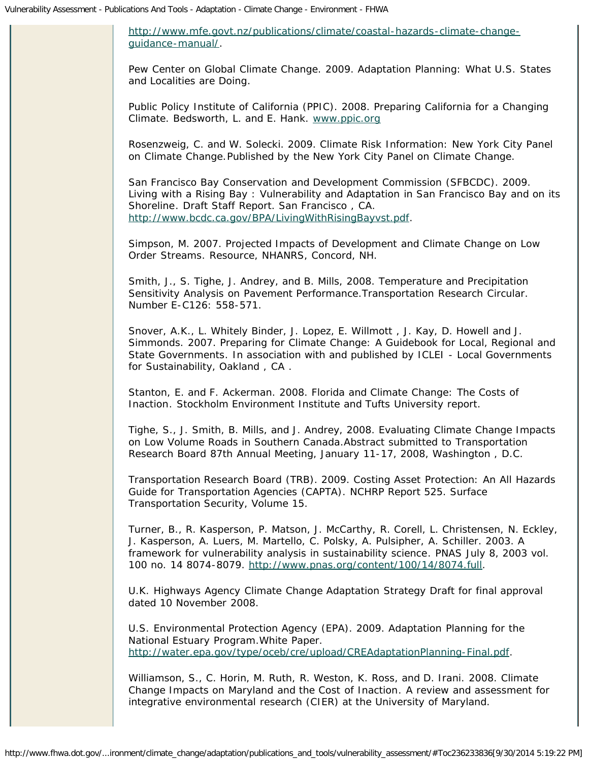[http://www.mfe.govt.nz/publications/climate/coastal-hazards-climate-change](http://wwwcf.fhwa.dot.gov/exit.cfm?link=http://www.mfe.govt.nz/publications/climate/coastal-hazards-climate-change-guidance-manual/)[guidance-manual/.](http://wwwcf.fhwa.dot.gov/exit.cfm?link=http://www.mfe.govt.nz/publications/climate/coastal-hazards-climate-change-guidance-manual/)

Pew Center on Global Climate Change. 2009. *Adaptation Planning: What U.S. States and Localities are Doing*.

Public Policy Institute of California (PPIC). 2008. *Preparing California for a Changing Climate.* Bedsworth, L. and E. Hank. [www.ppic.org](http://wwwcf.fhwa.dot.gov/exit.cfm?link=http://www.ppic.org)

Rosenzweig, C. and W. Solecki. 2009. *Climate Risk Information: New York City Panel on Climate Change.*Published by the New York City Panel on Climate Change.

San Francisco Bay Conservation and Development Commission (SFBCDC). 2009. *Living with a Rising Bay : Vulnerability and Adaptation in San Francisco Bay and on its Shoreline*. Draft Staff Report. San Francisco , CA. [http://www.bcdc.ca.gov/BPA/LivingWithRisingBayvst.pdf.](http://www.bcdc.ca.gov/BPA/LivingWithRisingBayvst.pdf)

Simpson, M. 2007. *Projected Impacts of Development and Climate Change on Low Order Streams*. Resource, NHANRS, Concord, NH.

Smith, J., S. Tighe, J. Andrey, and B. Mills, 2008. *Temperature and Precipitation Sensitivity Analysis on Pavement Performance*.Transportation Research Circular. Number E-C126: 558-571.

Snover, A.K., L. Whitely Binder, J. Lopez, E. Willmott , J. Kay, D. Howell and J. Simmonds. 2007. *Preparing for Climate Change: A Guidebook for Local, Regional and State Governments*. In association with and published by ICLEI - Local Governments for Sustainability, Oakland , CA .

Stanton, E. and F. Ackerman. 2008. *Florida and Climate Change: The Costs of Inaction*. Stockholm Environment Institute and Tufts University report.

Tighe, S., J. Smith, B. Mills, and J. Andrey, 2008. *Evaluating Climate Change Impacts on Low Volume Roads in Southern Canada*.Abstract submitted to Transportation Research Board 87th Annual Meeting, January 11-17, 2008, Washington , D.C.

Transportation Research Board (TRB). 2009. *Costing Asset Protection: An All Hazards Guide for Transportation Agencies (CAPTA)*. NCHRP Report 525. Surface Transportation Security, Volume 15.

Turner, B., R. Kasperson, P. Matson, J. McCarthy, R. Corell, L. Christensen, N. Eckley, J. Kasperson, A. Luers, M. Martello, C. Polsky, A. Pulsipher, A. Schiller. 2003. *A framework for vulnerability analysis in sustainability science*. *PNAS* July 8, 2003 vol. 100 no. 14 8074-8079. [http://www.pnas.org/content/100/14/8074.full.](http://wwwcf.fhwa.dot.gov/exit.cfm?link=http://www.pnas.org/content/100/14/8074.full)

U.K. Highways Agency Climate Change Adaptation Strategy Draft for final approval dated 10 November 2008.

U.S. Environmental Protection Agency (EPA). 2009. *Adaptation Planning for the National Estuary Program*.White Paper. [http://water.epa.gov/type/oceb/cre/upload/CREAdaptationPlanning-Final.pdf.](http://water.epa.gov/type/oceb/cre/upload/CREAdaptationPlanning-Final.pdf)

Williamson, S., C. Horin, M. Ruth, R. Weston, K. Ross, and D. Irani. 2008. *Climate Change Impacts on Maryland and the Cost of Inaction*. A review and assessment for integrative environmental research (CIER) at the University of Maryland.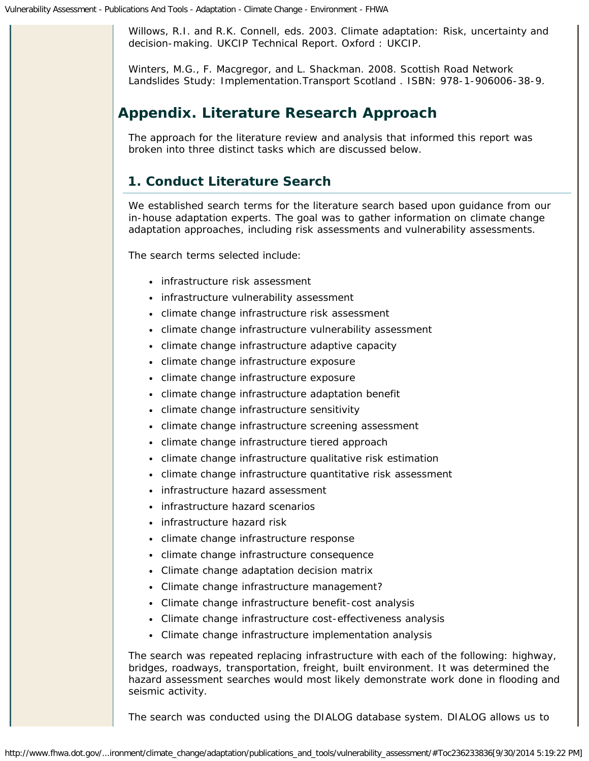Willows, R.I. and R.K. Connell, eds. 2003. *Climate adaptation: Risk, uncertainty and decision-making*. UKCIP Technical Report. Oxford : UKCIP.

Winters, M.G., F. Macgregor, and L. Shackman. 2008. *Scottish Road Network Landslides Study: Implementation*.Transport Scotland . ISBN: 978-1-906006-38-9.

# <span id="page-37-0"></span>**Appendix. Literature Research Approach**

The approach for the literature review and analysis that informed this report was broken into three distinct tasks which are discussed below.

### **1. Conduct Literature Search**

We established search terms for the literature search based upon guidance from our in-house adaptation experts. The goal was to gather information on climate change adaptation approaches, including risk assessments and vulnerability assessments.

The search terms selected include:

- infrastructure risk assessment
- infrastructure vulnerability assessment
- climate change infrastructure risk assessment
- climate change infrastructure vulnerability assessment
- climate change infrastructure adaptive capacity
- climate change infrastructure exposure
- climate change infrastructure exposure
- climate change infrastructure adaptation benefit
- climate change infrastructure sensitivity
- climate change infrastructure screening assessment
- climate change infrastructure tiered approach
- climate change infrastructure qualitative risk estimation
- climate change infrastructure quantitative risk assessment
- infrastructure hazard assessment
- infrastructure hazard scenarios
- infrastructure hazard risk
- climate change infrastructure response
- climate change infrastructure consequence
- Climate change adaptation decision matrix
- Climate change infrastructure management?
- Climate change infrastructure benefit-cost analysis
- Climate change infrastructure cost-effectiveness analysis
- Climate change infrastructure implementation analysis

The search was repeated replacing infrastructure with each of the following: highway, bridges, roadways, transportation, freight, built environment. It was determined the hazard assessment searches would most likely demonstrate work done in flooding and seismic activity.

The search was conducted using the DIALOG database system. DIALOG allows us to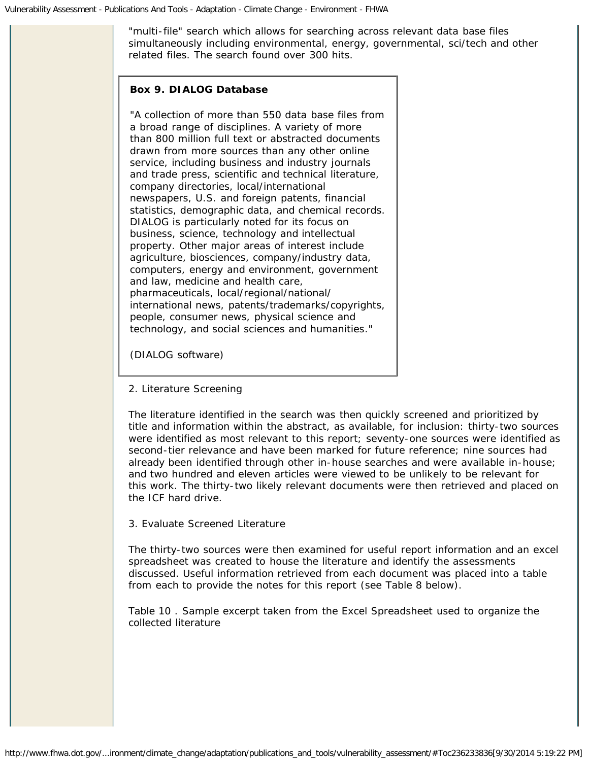"multi-file" search which allows for searching across relevant data base files simultaneously including environmental, energy, governmental, sci/tech and other related files. The search found over 300 hits.

### **Box 9. DIALOG Database**

"A collection of more than 550 data base files from a broad range of disciplines. A variety of more than 800 million full text or abstracted documents drawn from more sources than any other online service, including business and industry journals and trade press, scientific and technical literature, company directories, local/international newspapers, U.S. and foreign patents, financial statistics, demographic data, and chemical records. DIALOG is particularly noted for its focus on business, science, technology and intellectual property. Other major areas of interest include agriculture, biosciences, company/industry data, computers, energy and environment, government and law, medicine and health care, pharmaceuticals, local/regional/national/ international news, patents/trademarks/copyrights, people, consumer news, physical science and technology, and social sciences and humanities*."*

*(DIALOG software)*

2. Literature Screening

The literature identified in the search was then quickly screened and prioritized by title and information within the abstract, as available, for inclusion: thirty-two sources were identified as most relevant to this report; seventy-one sources were identified as second-tier relevance and have been marked for future reference; nine sources had already been identified through other in-house searches and were available in-house; and two hundred and eleven articles were viewed to be unlikely to be relevant for this work. The thirty-two likely relevant documents were then retrieved and placed on the ICF hard drive.

3. Evaluate Screened Literature

The thirty-two sources were then examined for useful report information and an excel spreadsheet was created to house the literature and identify the assessments discussed. Useful information retrieved from each document was placed into a table from each to provide the notes for this report (see Table 8 below).

Table 10 . Sample excerpt taken from the Excel Spreadsheet used to organize the collected literature